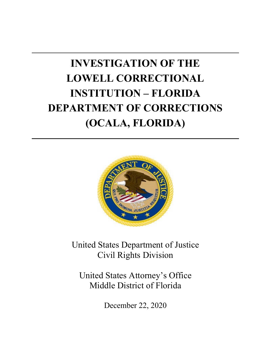# **INVESTIGATION OF THE INSTITUTION – FLORIDA LOWELL CORRECTIONAL DEPARTMENT OF CORRECTIONS (OCALA, FLORIDA)**



United States Department of Justice Civil Rights Division

United States Attorney's Office Middle District of Florida

December 22, 2020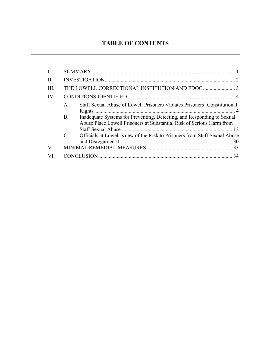# **TABLE OF CONTENTS**

<span id="page-1-0"></span>

| II.          |                |                                                                                                                                                 |
|--------------|----------------|-------------------------------------------------------------------------------------------------------------------------------------------------|
| HI.          |                |                                                                                                                                                 |
| $IV_{\cdot}$ |                |                                                                                                                                                 |
|              | $\mathsf{A}$ . | Staff Sexual Abuse of Lowell Prisoners Violates Prisoners' Constitutional                                                                       |
|              | <b>B.</b>      | Inadequate Systems for Preventing, Detecting, and Responding to Sexual<br>Abuse Place Lowell Prisoners at Substantial Risk of Serious Harm from |
|              | $C_{\cdot}$    | Officials at Lowell Knew of the Risk to Prisoners from Staff Sexual Abuse                                                                       |
|              |                |                                                                                                                                                 |
| V.           |                |                                                                                                                                                 |
| VI           |                |                                                                                                                                                 |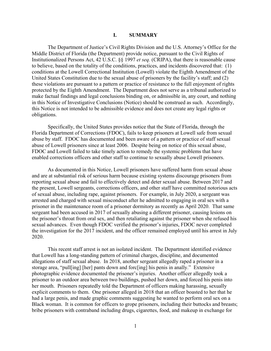# **I. SUMMARY**

 Middle District of Florida (the Department) provide notice, pursuant to the Civil Rights of Institutionalized Persons Act, 42 U.S.C. §§ 1997 *et seq.* (CRIPA), that there is reasonable cause to believe, based on the totality of the conditions, practices, and incidents discovered that: (1) conditions at the Lowell Correctional Institution (Lowell) violate the Eighth Amendment of the United States Constitution due to the sexual abuse of prisoners by the facility's staff; and (2) protected by the Eighth Amendment. The Department does not serve as a tribunal authorized to The Department of Justice's Civil Rights Division and the U.S. Attorney's Office for the these violations are pursuant to a pattern or practice of resistance to the full enjoyment of rights make factual findings and legal conclusions binding on, or admissible in, any court, and nothing in this Notice of Investigative Conclusions (Notice) should be construed as such. Accordingly, this Notice is not intended to be admissible evidence and does not create any legal rights or obligations.

 Specifically, the United States provides notice that the State of Florida, through the Florida Department of Corrections (FDOC), fails to keep prisoners at Lowell safe from sexual abuse by staff. FDOC has documented and been aware of a pattern or practice of staff sexual abuse of Lowell prisoners since at least 2006. Despite being on notice of this sexual abuse, FDOC and Lowell failed to take timely action to remedy the systemic problems that have enabled corrections officers and other staff to continue to sexually abuse Lowell prisoners.

 As documented in this Notice, Lowell prisoners have suffered harm from sexual abuse and are at substantial risk of serious harm because existing systems discourage prisoners from of sexual abuse, including rape, against prisoners. For example, in July 2020, a sergeant was prisoner in the maintenance room of a prisoner dormitory as recently as April 2020. That same the prisoner's throat from oral sex, and then retaliating against the prisoner when she refused his sexual advances. Even though FDOC verified the prisoner's injuries, FDOC never completed reporting sexual abuse and fail to effectively detect and deter sexual abuse. Between 2017 and the present, Lowell sergeants, corrections officers, and other staff have committed notorious acts arrested and charged with sexual misconduct after he admitted to engaging in oral sex with a sergeant had been accused in 2017 of sexually abusing a different prisoner, causing lesions on the investigation for the 2017 incident, and the officer remained employed until his arrest in July 2020.

 allegations of staff sexual abuse. In 2018, another sergeant allegedly raped a prisoner in a storage area, "pull[ing] [her] pants down and forc[ing] his penis in anally." Extensive prisoner to an outdoor area between two buildings, pushed her down, and forced his penis into explicit comments to them. One prisoner alleged in 2018 that an officer boasted to her that he Black woman. It is common for officers to grope prisoners, including their buttocks and breasts; This recent staff arrest is not an isolated incident. The Department identified evidence that Lowell has a long-standing pattern of criminal charges, discipline, and documented photographic evidence documented the prisoner's injuries. Another officer allegedly took a her mouth. Prisoners repeatedly told the Department of officers making harassing, sexually had a large penis, and made graphic comments suggesting he wanted to perform oral sex on a bribe prisoners with contraband including drugs, cigarettes, food, and makeup in exchange for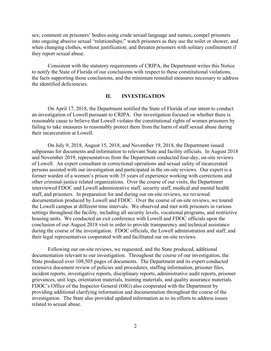sex; comment on prisoners' bodies using crude sexual language and names; compel prisoners into ongoing abusive sexual "relationships;" watch prisoners as they use the toilet or shower, and when changing clothes, without justification; and threaten prisoners with solitary confinement if they report sexual abuse.

 Consistent with the statutory requirements of CRIPA, the Department writes this Notice to notify the State of Florida of our conclusions with respect to these constitutional violations, the facts supporting those conclusions, and the minimum remedial measures necessary to address the identified deficiencies.

#### **II. INVESTIGATION**

<span id="page-3-0"></span> On April 17, 2018, the Department notified the State of Florida of our intent to conduct an investigation of Lowell pursuant to CRIPA. Our investigation focused on whether there is reasonable cause to believe that Lowell violates the constitutional rights of women prisoners by failing to take measures to reasonably protect them from the harm of staff sexual abuse during their incarceration at Lowell.

 subpoenas for documents and information to relevant State and facility officials. In August 2018 of Lowell. An expert consultant in correctional operations and sexual safety of incarcerated former warden of a women's prison with 35 years of experience working with corrections and other criminal-justice related organizations. Over the course of our visits, the Department interviewed FDOC and Lowell administrative staff, security staff, medical and mental health the Lowell campus at different time intervals. We observed and met with prisoners in various housing units. We conducted an exit conference with Lowell and FDOC officials upon the during the course of the investigation. FDOC officials, the Lowell administration and staff, and On July 9, 2018, August 15, 2018, and November 19, 2018, the Department issued and November 2019, representatives from the Department conducted four-day, on-site reviews persons assisted with our investigation and participated in the on-site reviews. Our expert is a staff, and prisoners. In preparation for and during our on-site reviews, we reviewed documentation produced by Lowell and FDOC. Over the course of on-site reviews, we toured settings throughout the facility, including all security levels, vocational programs, and restrictive conclusion of our August 2018 visit in order to provide transparency and technical assistance their legal representatives cooperated with and facilitated our on-site reviews.

 Following our on-site reviews, we requested, and the State produced, additional documentation relevant to our investigation. Throughout the course of our investigation, the grievances, unit logs, orientation materials, training materials, and quality assurance materials. FDOC's Office of the Inspector General (OIG) also cooperated with the Department by related to sexual abuse. State produced over 108,505 pages of documents. The Department and its expert conducted extensive document review of policies and procedures, staffing information, prisoner files, incident reports, investigative reports, disciplinary reports, administrative audit reports, prisoner providing additional clarifying information and documentation throughout the course of the investigation. The State also provided updated information as to its efforts to address issues related to sexual abuse.<br>
2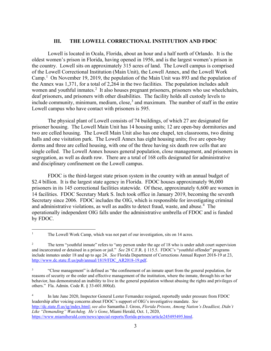# **III. THE LOWELL CORRECTIONAL INSTITUTION AND FDOC**

<span id="page-4-0"></span> Lowell is located in Ocala, Florida, about an hour and a half north of Orlando. It is the oldest women's prison in Florida, having opened in 1956, and is the largest women's prison in Camp.<sup>[1](#page-4-1)</sup> On November 19, 2019, the population of the Main Unit was 893 and the population of the Annex was 1,371, for a total of 2,264 in the two facilities. The population includes adult women and youthful inmates.<sup>[2](#page-4-2)</sup> It also houses pregnant prisoners, prisoners who use wheelchairs, the country. Lowell sits on approximately 315 acres of land. The Lowell campus is comprised of the Lowell Correctional Institution (Main Unit), the Lowell Annex, and the Lowell Work deaf prisoners, and prisoners with other disabilities. The facility holds all custody levels to include community, minimum, medium, close, $3$  and maximum. The number of staff in the entire Lowell campus who have contact with prisoners is 595.

 two are celled housing. The Lowell Main Unit also has one chapel, ten classrooms, two dining dorms and three are celled housing, with one of the three having six death row cells that are segregation, as well as death row. There are a total of 168 cells designated for administrative The physical plant of Lowell consists of 74 buildings, of which 27 are designated for prisoner housing. The Lowell Main Unit has 14 housing units; 12 are open-bay dormitories and halls and one visitation park. The Lowell Annex has eight housing units; five are open-bay single celled. The Lowell Annex houses general population, close management, and prisoners in and disciplinary confinement on the Lowell campus.

 FDOC is the third-largest state prison system in the country with an annual budget of \$2.4 billion. It is the largest state agency in Florida. FDOC houses approximately 96,000 prisoners in its 145 correctional facilities statewide. Of these, approximately 6,600 are women in 14 facilities. FDOC Secretary Mark S. Inch took office in January 2019, becoming the seventh Secretary since 2006. FDOC includes the OIG, which is responsible for investigating criminal and administrative violations, as well as audits to detect fraud, waste, and abuse.<sup>[4](#page-4-4)</sup> The operationally independent OIG falls under the administrative umbrella of FDOC and is funded by FDOC.

 $\overline{a}$ 

<span id="page-4-4"></span> leadership after voicing concerns about FDOC's support of OIG's investigative mandate. *See*  [http://dc.state.fl.us/ig/index.html;](http://dc.state.fl.us/ig/index.html) *see also* Samantha J. Gross, *Florida Prisons, Among Nation's Deadliest, Didn't Like "Demanding" Watchdog. He's Gone*, Miami Herald, Oct. 1, 2020, 4 In late June 2020, Inspector General Lester Fernandez resigned, reportedly under pressure from FDOC [https://www.miamiherald.com/news/special-reports/florida-prisons/article245495495.html.](https://www.miamiherald.com/news/special-reports/florida-prisons/article245495495.html) 

<span id="page-4-1"></span>The Lowell Work Camp, which was not part of our investigation, sits on 14 acres.

<span id="page-4-2"></span> $\sqrt{2}$  and incarcerated or detained in a prison or jail." *See* 28 C.F.R. § 115.5. FDOC's "youthful offender" programs include inmates under 18 and up to age 24. *See* Florida Department of Corrections Annual Report 2018-19 at 23, The term "youthful inmate" refers to "any person under the age of 18 who is under adult court supervision [http://www.dc.state.fl.us/pub/annual/1819/FDC\\_AR2018-19.pdf.](http://www.dc.state.fl.us/pub/annual/1819/FDC_AR2018-19.pdf)

<span id="page-4-3"></span> $\overline{3}$  reasons of security or the order and effective management of the institution, where the inmate, through his or her behavior, has demonstrated an inability to live in the general population without abusing the rights and privileges of others." Fla. Admin. Code R. § 33-601.800(d). 3 "Close management" is defined as "the confinement of an inmate apart from the general population, for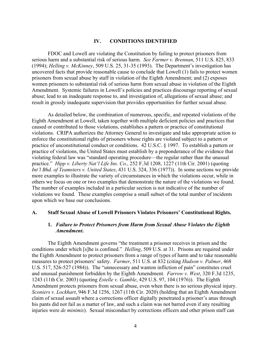#### **IV. CONDITIONS IDENTIFIED**

<span id="page-5-0"></span> FDOC and Lowell are violating the Constitution by failing to protect prisoners from serious harm and a substantial risk of serious harm. *See Farmer v. Brennan*, 511 U.S. 825, 833 uncovered facts that provide reasonable cause to conclude that Lowell (1) fails to protect women result in grossly inadequate supervision that provides opportunities for further sexual abuse. (1994); *Helling v. McKinney*, 509 U.S. 25, 31-35 (1993). The Department's investigation has prisoners from sexual abuse by staff in violation of the Eighth Amendment; and (2) exposes women prisoners to substantial risk of serious harm from sexual abuse in violation of the Eighth Amendment. Systemic failures in Lowell's policies and practices discourage reporting of sexual abuse; lead to an inadequate response to, and investigation of, allegations of sexual abuse; and

 *Int'l Bhd. of Teamsters v. United States*, 431 U.S. 324, 336 (1977)). In some sections we provide others we focus on one or two examples that demonstrate the nature of the violations we found. upon which we base our conclusions. As detailed below, the combination of numerous, specific, and repeated violations of the Eighth Amendment at Lowell, taken together with multiple deficient policies and practices that caused or contributed to those violations, establishes a pattern or practice of constitutional violations. CRIPA authorizes the Attorney General to investigate and take appropriate action to enforce the constitutional rights of prisoners whose rights are violated subject to a pattern or practice of unconstitutional conduct or conditions. 42 U.S.C. § 1997. To establish a pattern or practice of violations, the United States must establish by a preponderance of the evidence that violating federal law was "standard operating procedure—the regular rather than the unusual practice." *Hipp v. Liberty Nat'l Life Ins. Co.*, 252 F.3d 1208, 1227 (11th Cir. 2001) (quoting more examples to illustrate the variety of circumstances in which the violations occur, while in The number of examples included in a particular section is not indicative of the number of violations we found. These examples comprise a small subset of the total number of incidents

#### <span id="page-5-1"></span>**A. Staff Sexual Abuse of Lowell Prisoners Violates Prisoners' Constitutional Rights.**

# **1.** *Failure to Protect Prisoners from Harm from Sexual Abuse Violates the Eighth Amendment***.**

 conditions under which [s]he is confined." *Helling*, 509 U.S. at 31. Prisons are required under measures to protect prisoners' safety. *Farmer*, 511 U.S. at 832 (citing *Hudson v. Palmer*, 468 Amendment protects prisoners from sexual abuse, even when there is no serious physical injury. his pants did not fail as a matter of law, and such a claim was not barred even if any resulting The Eighth Amendment governs "the treatment a prisoner receives in prison and the the Eighth Amendment to protect prisoners from a range of types of harm and to take reasonable U.S. 517, 526-527 (1984)). The "unnecessary and wanton infliction of pain" constitutes cruel and unusual punishment forbidden by the Eighth Amendment. *Farrow v. West*, 320 F.3d 1235, 1243 (11th Cir. 2003) (quoting *Estelle v. Gamble*, 429 U.S. 97, 104 (1976)). The Eighth *Sconiers v. Lockhart*, 946 F.3d 1256, 1267 (11th Cir. 2020) (holding that an Eighth Amendment claim of sexual assault where a corrections officer digitally penetrated a prisoner's anus through injuries were *de minimis*). Sexual misconduct by corrections officers and other prison staff can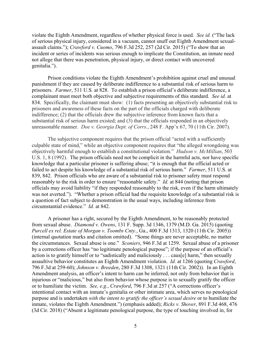violate the Eighth Amendment, regardless of whether physical force is used. *See id.* ("The lack of serious physical injury, considered in a vacuum, cannot snuff out Eighth Amendment sexualassault claims."); *Crawford v. Cuomo*, 796 F.3d 252, 257 (2d Cir. 2015) ("To show that an incident or series of incidents was serious enough to implicate the Constitution, an inmate need not allege that there was penetration, physical injury, or direct contact with uncovered genitalia.").

 Prison conditions violate the Eighth Amendment's prohibition against cruel and unusual punishment if they are caused by deliberate indifference to a substantial risk of serious harm to prisoners. *Farmer*, 511 U.S*.* at 828. To establish a prison official's deliberate indifference, a complainant must meet both objective and subjective requirements of this standard. *See id.* at 834. Specifically, the claimant must show: (1) facts presenting an objectively substantial risk to prisoners and awareness of these facts on the part of the officials charged with deliberate indifference; (2) that the officials drew the subjective inference from known facts that a substantial risk of serious harm existed; and (3) that the officials responded in an objectively unreasonable manner. *Doe v. Georgia Dept. of Corrs.*, 248 F. App'x 67, 70 (11th Cir. 2007).

 objectively harmful enough to establish a constitutional violation." *Hudson v. McMillian*, 503 U.S. 1, 8 (1992). The prison officials need not be complicit in the harmful acts, nor have specific knowledge that a particular prisoner is suffering abuse; "it is enough that the official acted or failed to act despite his knowledge of a substantial risk of serious harm." *Farmer*, 511 U.S. at 839, 842. Prison officials who are aware of a substantial risk to prisoner safety must respond reasonably to the risk in order to ensure "reasonable safety." *Id.* at 844 (noting that prison was not averted."). "Whether a prison official had the requisite knowledge of a substantial risk is circumstantial evidence." *Id.* at 842. The subjective component requires that the prison official "acted with a sufficiently culpable state of mind," while an objective component requires that "the alleged wrongdoing was officials may avoid liability "if they responded reasonably to the risk, even if the harm ultimately a question of fact subject to demonstration in the usual ways, including inference from

 (internal quotation marks and citation omitted). "Some things are never acceptable, no matter the circumstances. Sexual abuse is one." *Sconiers*, 946 F.3d at 1259. Sexual abuse of a prisoner assaultive behavior constitutes an Eighth Amendment violation. *Id.* at 1266 (quoting *Crawford*, 796 F.3d at 259-60); *Johnson v. Breeden*, 280 F.3d 1308, 1321 (11th Cir. 2002)). In an Eighth or to humiliate the victim. *See, e.g.*, *Crawford*, 796 F.3d at 257 ("A corrections officer's intentional contact with an inmate's genitalia or other intimate area, which serves no penological purpose and is undertaken *with the intent to gratify the officer's sexual desire* or to humiliate the (3d Cir. 2018) ("Absent a legitimate penological purpose, the type of touching involved in, for A prisoner has a right, secured by the Eighth Amendment, to be reasonably protected from sexual abuse. *Diamond v. Owens*, 131 F. Supp. 3d 1346, 1379 (M.D. Ga. 2015) (quoting *Purcell ex rel. Estate of Morgan v. Toombs Cnty.*, Ga., 400 F.3d 1313, 1320 (11th Cir. 2005)) by a corrections officer has "no legitimate penological purpose"; if the purpose of an official's action is to gratify himself or to "sadistically and maliciously . . . caus[e] harm," then sexually Amendment analysis, an officer's intent to harm can be inferred, not only from behavior that is injurious or "malicious," but also from behavior whose purpose is to sexually gratify the officer inmate, violates the Eighth Amendment.") (emphasis added); *Ricks v. Shover*, 891 F.3d 468, 476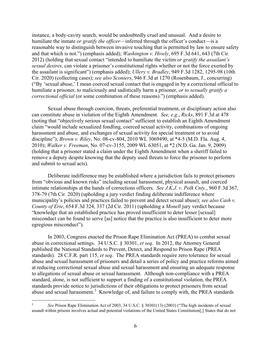2012) (holding that sexual contact "intended to humiliate the victim *or gratify the assailant's*  ("By 'sexual abuse,' I mean coerced sexual contact that is engaged in by a correctional official to humiliate a prisoner, to maliciously and sadistically harm a prisoner, *or to sexually gratify a*  instance, a body-cavity search, would be undoubtedly cruel and unusual. And a desire to humiliate the inmate *or gratify the officer*—inferred through the officer's conduct—is a reasonable way to distinguish between invasive touching that is permitted by law to ensure safety and that which is not.") (emphasis added); *Washington v. Hively*, 695 F.3d 641, 643 (7th Cir. *sexual desires*, can violate a prisoner's constitutional rights whether or not the force exerted by the assailant is significant") (emphasis added); *Ullery v. Bradley*, 949 F.3d 1282, 1295-98 (10th Cir. 2020) (collecting cases); *see also Sconiers*, 946 F.3d at 1270 (Rosenbaum, J., concurring) *correctional official* (or some combination of these reasons).") (emphasis added).

 harassment and abuse, and exchanges of sexual activity for special treatment or to avoid (holding that a prisoner stated a claim under the Eighth Amendment when a sheriff failed to remove a deputy despite knowing that the deputy used threats to force the prisoner to perform Sexual abuse through coercion, threats, preferential treatment, or disciplinary action also can constitute abuse in violation of the Eighth Amendment. *See, e.g.*, *Ricks*, 891 F.3d at 478 (noting that "objectively serious sexual contact" sufficient to establish an Eighth Amendment claim "would include sexualized fondling, coerced sexual activity, combinations of ongoing discipline"); *Brown v. Riley*, No. 08-cv-804, 2010 WL 3069490, at \*4-5 (M.D. Fla. Aug. 4, 2010); *Walker v. Freeman*, No. 07-cv-3155, 2009 WL 63051, at \*2 (N.D. Ga. Jan. 9, 2009) and submit to sexual acts).

 intimate relationships at the hands of corrections officers. *See J.K.J. v. Polk Cnty.*, 960 F.3d 367, 378-79 (7th Cir. 2020) (upholding a jury verdict finding deliberate indifference where *County of Erie*, 654 F.3d 324, 337 (2d Cir. 2011) (upholding a *Monell* jury verdict because egregious misconduct"). Deliberate indifference may be established where a jurisdiction fails to protect prisoners from "obvious and known risks" including sexual harassment, physical assault, and coerced municipality's policies and practices failed to prevent and detect sexual abuse); *see also Cash v.*  "knowledge that an established practice has proved insufficient to deter lesser [sexual] misconduct can be found to serve [as] notice that the practice is also insufficient to deter more

 abuse in correctional settings. 34 U.S.C. § 30301, *et seq*. In 2012, the Attorney General standards). 28 C.F.R. part 115, *et seq*. The PREA standards require zero tolerance for sexual at reducing correctional sexual abuse and sexual harassment and ensuring an adequate response standard, alone, is not sufficient to support a finding of a constitutional violation, the PREA standards provide notice to jurisdictions of their obligations to protect prisoners from sexual abuse and sexual harassment.<sup>5</sup> Knowledge of, and failure to comply with, the PREA standards In 2003, Congress enacted the Prison Rape Elimination Act (PREA) to combat sexual published the National Standards to Prevent, Detect, and Respond to Prison Rape (PREA abuse and sexual harassment of prisoners and detail a series of policy and practice reforms aimed to allegations of sexual abuse or sexual harassment. Although non-compliance with a PREA

<u>.</u>

<span id="page-7-0"></span> assault within prisons involves actual and potential violations of the United States Constitution[;] States that do not <sup>5</sup>*See* Prison Rape Elimination Act of 2003, 34 U.S.C. § 30301(13) (2003) ("The high incidents of sexual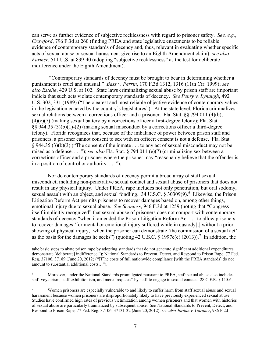can serve as further evidence of subjective recklessness with regard to prisoner safety. *See, e.g.*, evidence of contemporary standards of decency and, thus, relevant in evaluating whether specific indifference under the Eighth Amendment). *Crawford*, 796 F.3d at 260 (finding PREA and state legislative enactments to be reliable acts of sexual abuse or sexual harassment give rise to an Eighth Amendment claim); *see also Farmer*, 511 U.S. at 839-40 (adopting "subjective recklessness" as the test for deliberate

 punishment is cruel and unusual." *Bass v. Perrin*, 170 F.3d 1312, 1316 (11th Cir. 1999); *see*  in the legislation enacted by the country's legislatures"). At the state level, Florida criminalizes sexual relations between a corrections officer and a prisoner. Fla. Stat. §§ 794.011 (4)(b), felony). Florida recognizes that, because of the imbalance of power between prison staff and raised as a defense. . . ."); *see also* Fla. Stat. § 794.011 (e)(7) (criminalizing sex between a "Contemporary standards of decency must be brought to bear in determining whether a *also Estelle*, 429 U.S. at 102. State laws criminalizing sexual abuse by prison staff are important indicia that such acts violate contemporary standards of decency. *See Penry v. Lynaugh*, 492 U.S. 302, 331 (1989) ("The clearest and most reliable objective evidence of contemporary values (4)(e)(7) (making sexual battery by a corrections officer a first-degree felony); Fla. Stat. §§ 944.35 (3)(b)(1)-(2) (making sexual misconduct by a corrections officer a third-degree prisoners, a prisoner cannot consent to sex with an officer; consent is not a defense. Fla. Stat. § 944.35 (3)(b)(3) ("The consent of the inmate . . . to any act of sexual misconduct may not be corrections officer and a prisoner where the prisoner may "reasonably believe that the offender is in a position of control or authority. . . .").

 misconduct, including non-penetrative sexual contact and sexual abuse of prisoners that does not result in any physical injury. Under PREA, rape includes not only penetration, but oral sodomy, sexual assault with an object, and sexual fondling.  $34$  U.S.C. § 30309(9).<sup>6</sup> Likewise, the Prison emotional injury due to sexual abuse. *See Sconiers*, 946 F.3d at 1259 (noting that "Congress showing of physical injury,' when the prisoner can demonstrate 'the commission of a sexual act' as the basis for the damages he seeks") (quoting 42 U.S.C. § 199[7](#page-8-1)e(e) (2013)).<sup>7</sup> In addition, the Nor do contemporary standards of decency permit a broad array of staff sexual Litigation Reform Act permits prisoners to recover damages based on, among other things, itself implicitly recognized" that sexual abuse of prisoners does not comport with contemporary standards of decency "when it amended the Prison Litigation Reform Act . . . to allow prisoners to recover damages 'for mental or emotional injury suffered while in custody[,] without a prior

<u>.</u>

 demonstrate [deliberate] indifference."); National Standards to Prevent, Detect, and Respond to Prison Rape, 77 Fed. Reg. 37106, 37189 (June 20, 2012) ("[T]he costs of full nationwide compliance [with the PREA standards] do not amount to substantial additional costs…"). take basic steps to abate prison rape by adopting standards that do not generate significant additional expenditures

<span id="page-8-0"></span> $\sqrt{6}$  staff voyeurism, staff exhibitionism, and mere "requests" by staff to engage in sexual contact. 28 C.F.R. § 115.6. 6 Moreover, under the National Standards promulgated pursuant to PREA, staff sexual abuse also includes

<span id="page-8-1"></span> $\tau$  harassment because women prisoners are disproportionately likely to have previously experienced sexual abuse. Studies have confirmed high rates of previous victimization among women prisoners and that women with histories of sexual abuse are particularly traumatized by subsequent abuse. *See* National Standards to Prevent, Detect, and Respond to Prison Rape, 77 Fed. Reg. 37106, 37131-32 (June 20, 2012); *see also Jordan v. Gardner*, 986 F.2d Women prisoners are especially vulnerable to and likely to suffer harm from staff sexual abuse and sexual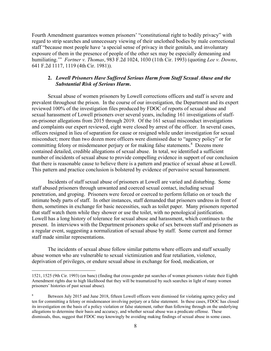humiliating.'" *Fortner v. Thomas*, 983 F.2d 1024, 1030 (11th Cir. 1993) (quoting *Lee v. Downs*, 641 F.2d 1117, 1119 (4th Cir. 1981)). Fourth Amendment guarantees women prisoners' "constitutional right to bodily privacy" with regard to strip searches and unnecessary viewing of their unclothed bodies by male correctional staff "because most people have 'a special sense of privacy in their genitals, and involuntary exposure of them in the presence of people of the other sex may be especially demeaning and

# **2.** *Lowell Prisoners Have Suffered Serious Harm from Staff Sexual Abuse and the Substantial Risk of Serious Harm***.**

 Sexual abuse of women prisoners by Lowell corrections officers and staff is severe and sexual harassment of Lowell prisoners over several years, including 161 investigations of staff- on-prisoner allegations from 2015 through 2019. Of the 161 sexual misconduct investigations and complaints our expert reviewed, eight were closed by arrest of the officer. In several cases, officers resigned in lieu of separation for cause or resigned while under investigation for sexual committing felony or misdemeanor perjury or for making false statements. [8](#page-9-0) Dozens more contained detailed, credible allegations of sexual abuse. In total, we identified a sufficient number of incidents of sexual abuse to provide compelling evidence in support of our conclusion that there is reasonable cause to believe there is a pattern and practice of sexual abuse at Lowell. prevalent throughout the prison. In the course of our investigation, the Department and its expert reviewed 100% of the investigation files produced by FDOC of reports of sexual abuse and misconduct; more than two dozen more officers were dismissed due to "agency policy" or for This pattern and practice conclusion is bolstered by evidence of pervasive sexual harassment.

 Incidents of staff sexual abuse of prisoners at Lowell are varied and disturbing. Some penetration, and groping. Prisoners were forced or coerced to perform fellatio on or touch the intimate body parts of staff. In other instances, staff demanded that prisoners undress in front of them, sometimes in exchange for basic necessities, such as toilet paper. Many prisoners reported Lowell has a long history of tolerance for sexual abuse and harassment, which continues to the present. In interviews with the Department prisoners spoke of sex between staff and prisoners as staff abused prisoners through unwanted and coerced sexual contact, including sexual that staff watch them while they shower or use the toilet, with no penological justification. a regular event, suggesting a normalization of sexual abuse by staff. Some current and former staff made similar representations.

 abuse women who are vulnerable to sexual victimization and fear retaliation, violence, deprivation of privileges, or endure sexual abuse in exchange for food, medication, or The incidents of sexual abuse follow similar patterns where officers and staff sexually

 Amendment rights due to high likelihood that they will be traumatized by such searches in light of many women prisoners' histories of past sexual abuse). 1521, 1525 (9th Cir. 1993) (en banc) (finding that cross-gender pat searches of women prisoners violate their Eighth

<span id="page-9-0"></span> ten for committing a felony or misdemeanor involving perjury or a false statement. In these cases, FDOC has closed its investigation on the basis of a policy violation or false statement, rather than following through on the underlying allegations to determine their basis and accuracy, and whether sexual abuse was a predicate offense. These dismissals, thus, suggest that FDOC may knowingly be avoiding making findings of sexual abuse in some cases. 8 Between July 2015 and June 2018, fifteen Lowell officers were dismissed for violating agency policy and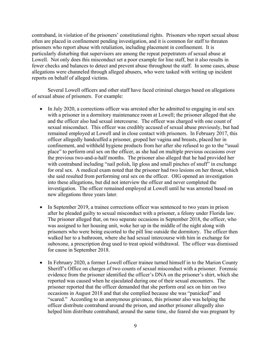contraband, in violation of the prisoners' constitutional rights. Prisoners who report sexual abuse prisoners who report abuse with retaliation, including placement in confinement. It is fewer checks and balances to detect and prevent abuse throughout the staff. In some cases, abuse often are placed in confinement pending investigation, and it is common for staff to threaten particularly disturbing that supervisors are among the repeat perpetrators of sexual abuse at Lowell. Not only does this misconduct set a poor example for line staff, but it also results in allegations were channeled through alleged abusers, who were tasked with writing up incident reports on behalf of alleged victims.

Several Lowell officers and other staff have faced criminal charges based on allegations of sexual abuse of prisoners. For example:

- and the officer also had sexual intercourse. The officer was charged with one count of sexual misconduct. This officer was credibly accused of sexual abuse previously, but had remained employed at Lowell and in close contact with prisoners. In February 2017, this the previous two-and-a-half months. The prisoner also alleged that he had provided her for oral sex. A medical exam noted that the prisoner had two lesions on her throat, which she said resulted from performing oral sex on the officer. OIG opened an investigation into these allegations, but did not interview the officer and never completed the • In July 2020, a corrections officer was arrested after he admitted to engaging in oral sex with a prisoner in a dormitory maintenance room at Lowell; the prisoner alleged that she officer allegedly handcuffed a prisoner, groped her vagina and breasts, placed her in confinement, and withheld hygiene products from her after she refused to go to the "usual place" to perform oral sex on the officer, as she had on multiple previous occasions over with contraband including "nail polish, lip gloss and small pinches of snuff" in exchange investigation. The officer remained employed at Lowell until he was arrested based on new allegations three years later.
- The prisoner alleged that, on two separate occasions in September 2018, the officer, who prisoners who were being escorted to the pill line outside the dormitory. The officer then suboxone, a prescription drug used to treat opioid withdrawal. The officer was dismissed • In September 2019, a trainee corrections officer was sentenced to two years in prison after he pleaded guilty to sexual misconduct with a prisoner, a felony under Florida law. was assigned to her housing unit, woke her up in the middle of the night along with walked her to a bathroom, where she had sexual intercourse with him in exchange for for cause in September 2018.
- • In February 2020, a former Lowell officer trainee turned himself in to the Marion County Sheriff's Office on charges of two counts of sexual misconduct with a prisoner. Forensic evidence from the prisoner identified the officer's DNA on the prisoner's shirt, which she reported was caused when he ejaculated during one of their sexual encounters. The "scared." According to an anonymous grievance, this prisoner also was helping the officer distribute contraband around the prison, and another prisoner allegedly also helped him distribute contraband; around the same time, she feared she was pregnant by prisoner reported that the officer demanded that she perform oral sex on him on two occasions in August 2018 and that she complied because she was "panicked" and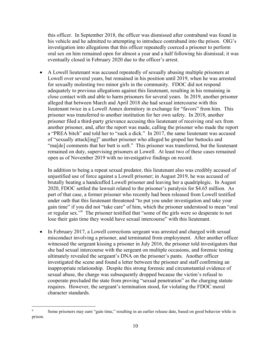this officer. In September 2018, the officer was dismissed after contraband was found in his vehicle and he admitted to attempting to introduce contraband into the prison. OIG's investigation into allegations that this officer repeatedly coerced a prisoner to perform oral sex on him remained open for almost a year and a half following his dismissal; it was eventually closed in February 2020 due to the officer's arrest.

 • A Lowell lieutenant was accused repeatedly of sexually abusing multiple prisoners at close contact with and able to harm prisoners for several years. In 2019, another prisoner lieutenant twice in a Lowell Annex dormitory in exchange for "favors" from him. This prisoner was transferred to another institution for her own safety. In 2018, another prisoner filed a third-party grievance accusing this lieutenant of receiving oral sex from of "sexually attack[ing]" another prisoner who alleged he groped her buttocks and "ma[de] comments that her butt is soft." This prisoner was transferred, but the lieutenant remained on duty, supervising prisoners at Lowell. At least two of these cases remained open as of November 2019 with no investigative findings on record. Lowell over several years, but remained in his position until 2019, when he was arrested for sexually molesting two minor girls in the community. FDOC did not respond adequately to previous allegations against this lieutenant, resulting in his remaining in alleged that between March and April 2018 she had sexual intercourse with this another prisoner, and, after the report was made, calling the prisoner who made the report a "PREA bitch" and told her to "suck a dick." In 2017, the same lieutenant was accused

 2020, FDOC settled the lawsuit related to the prisoner's paralysis for \$4.65 million. As gain time" if you did not "take care" of him, which the prisoner understood to mean "oral or regular sex."<sup>9</sup> The prisoner testified that "some of the girls were so desperate to not lose their gain time they would have sexual intercourse" with this lieutenant. In addition to being a repeat sexual predator, this lieutenant also was credibly accused of unjustified use of force against a Lowell prisoner; in August 2019, he was accused of brutally beating a handcuffed Lowell prisoner and leaving her a quadriplegic. In August part of that case, a former prisoner who recently had been released from Lowell testified under oath that this lieutenant threatened "to put you under investigation and take your

 • In February 2017, a Lowell corrections sergeant was arrested and charged with sexual witnessed the sergeant kissing a prisoner in July 2016, the prisoner told investigators that inappropriate relationship. Despite this strong forensic and circumstantial evidence of requires. However, the sergeant's termination stood, for violating the FDOC moral character standards. misconduct involving a prisoner, and terminated from employment. After another officer she had sexual intercourse with the sergeant on multiple occasions, and forensic testing ultimately revealed the sergeant's DNA on the prisoner's pants. Another officer investigated the scene and found a letter between the prisoner and staff confirming an sexual abuse, the charge was subsequently dropped because the victim's refusal to cooperate precluded the state from proving "sexual penetration" as the charging statute

<span id="page-11-0"></span> $\overline{a}$ 9 Some prisoners may earn "gain time," resulting in an earlier release date, based on good behavior while in prison.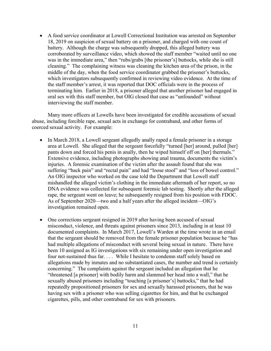• A food service coordinator at Lowell Correctional Institution was arrested on September battery. Although the charge was subsequently dropped, this alleged battery was cleaning." The complaining witness was cleaning the kitchen area of the prison, in the middle of the day, when the food service coordinator grabbed the prisoner's buttocks, terminating him. Earlier in 2018, a prisoner alleged that another prisoner had engaged in 18, 2019 on suspicion of sexual battery on a prisoner, and charged with one count of corroborated by surveillance video, which showed the staff member "waited until no one was in the immediate area," then "rubs/grabs [the prisoner's] buttocks, while she is still which investigators subsequently confirmed in reviewing video evidence. At the time of the staff member's arrest, it was reported that DOC officials were in the process of oral sex with this staff member, but OIG closed that case as "unfounded" without interviewing the staff member.

Many more officers at Lowells have been investigated for credible accusations of sexual abuse, including forcible rape, sexual acts in exchange for contraband, and other forms of coerced sexual activity. For example:

- • In March 2018, a Lowell sergeant allegedly anally raped a female prisoner in a storage area at Lowell. She alleged that the sergeant forcefully "turned [her] around, pulled [her] suffering "back pain" and "rectal pain" and had "loose stool" and "loss of bowel control." mishandled the alleged victim's clothing in the immediate aftermath of her report, so no rape, the sergeant went on leave; he subsequently resigned from his position with FDOC. As of September 2020—two and a half years after the alleged incident—OIG's investigation remained open. pants down and forced his penis in anally, then he wiped himself off on [her] thermals." Extensive evidence, including photographs showing anal trauma, documents the victim's injuries. A forensic examination of the victim after the assault found that she was An OIG inspector who worked on the case told the Department that Lowell staff DNA evidence was collected for subsequent forensic lab testing. Shortly after the alleged
- misconduct, violence, and threats against prisoners since 2013, including in at least 10 documented complaints. In March 2017, Lowell's Warden at the time wrote in an email that the sergeant should be removed from the female prisoner population because he "has had multiple allegations of misconduct with several being sexual in nature. There have allegations made by inmates and no substantiated cases, the number and trend is certainly concerning." The complaints against the sergeant included an allegation that he "threatened [a prisoner] with bodily harm and slammed her head into a wall," that he cigarettes, pills, and other contraband for sex with prisoners. • One corrections sergeant resigned in 2019 after having been accused of sexual been 10 assigned as IG investigations with six remaining under open investigation and four not-sustained thus far. . . . While I hesitate to condemn staff solely based on sexually abused prisoners including "touching [a prisoner's] buttocks," that he had repeatedly propositioned prisoners for sex and sexually harassed prisoners, that he was having sex with a prisoner who was selling cigarettes for him, and that he exchanged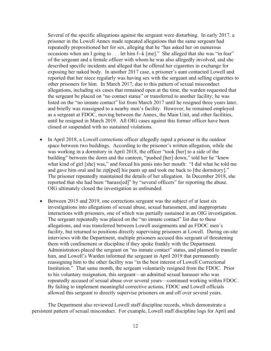Several of the specific allegations against the sergeant were disturbing. In early 2017, a occasions when am I going to . . . let him f--k [me]." She alleged that she was "in fear" the sergeant be placed on "no contact status" or transferred to another facility; he was until he resigned in March 2019. All OIG cases against this former officer have been prisoner in the Lowell Annex made repeated allegations that the same sergeant had repeatedly propositioned her for sex, alleging that he "has asked her on numerous of the sergeant and a female officer with whom he was also allegedly involved, and she described specific incidents and alleged that he offered her cigarettes in exchange for exposing her naked body. In another 2017 case, a prisoner's aunt contacted Lowell and reported that her niece regularly was having sex with the sergeant and selling cigarettes to other prisoners for him. In March 2017, due to this pattern of sexual misconduct allegations, including six cases that remained open at the time, the warden requested that listed on the "no inmate contact" list from March 2017 until he resigned three years later, and briefly was reassigned to a nearby men's facility. However, he remained employed as a sergeant at FDOC, moving between the Annex, the Main Unit, and other facilities, closed or suspended with no sustained violations.

- • In April 2018, a Lowell corrections officer allegedly raped a prisoner in the outdoor and gave him oral and he zip[ped] his pants up and took me back to [the dormitory]." space between two buildings. According to the prisoner's written allegation, while she was working in a dormitory in April 2018, the officer "took [her] to a side of the building" between the dorm and the canteen, "pushed [her] down," told her he "knew what kind of girl [she] was," and forced his penis into her mouth: "I did what he told me The prisoner repeatedly maintained the details of her allegation. In December 2018, she reported that she had been "harass[ed]" by "several officers" for reporting the abuse. OIG ultimately closed the investigation as unfounded.
- • Between 2015 and 2019, one corrections sergeant was the subject of at least six facility, but returned to positions directly supervising prisoners at Lowell. During on-site them with confinement or discipline if they spoke frankly with the Department. him, and Lowell's Warden informed the sergeant in April 2019 that permanently Institution." That same month, the sergeant voluntarily resigned from the FDOC. Prior investigations into allegations of sexual abuse, sexual harassment, and inappropriate interactions with prisoners, one of which was partially sustained in an OIG investigation. The sergeant repeatedly was placed on the "no inmate contact" list due to these allegations, and was transferred between Lowell assignments and an FDOC men's interviews with the Department, multiple prisoners accused this sergeant of threatening Administrators placed the sergeant on "no inmate contact" status, and planned to transfer reassigning him to the other facility was "in the best interest of Lowell Correctional to his voluntary resignation, this sergeant—an admitted sexual harasser who was repeatedly accused of sexual abuse over several years—continued working within FDOC. By failing to implement meaningful corrective actions, FDOC and Lowell officials allowed this sergeant to directly supervise prisoners on and off over several years.

The Department also reviewed Lowell staff discipline records, which demonstrate a persistent pattern of sexual misconduct. For example, Lowell staff discipline logs for April and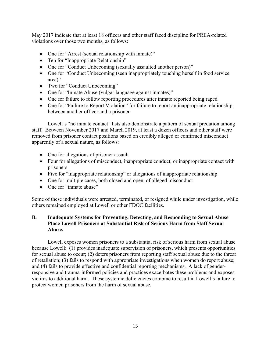violations over those two months, as follows: May 2017 indicate that at least 18 officers and other staff faced discipline for PREA-related

- One for "Arrest (sexual relationship with inmate)"
- Ten for "Inappropriate Relationship"
- One for "Conduct Unbecoming (sexually assaulted another person)"
- One for "Conduct Unbecoming (seen inappropriately touching herself in food service area)"
- Two for "Conduct Unbecoming"
- One for "Inmate Abuse (vulgar language against inmates)"
- One for failure to follow reporting procedures after inmate reported being raped
- between another officer and a prisoner • One for "Failure to Report Violation" for failure to report an inappropriate relationship

 staff. Between November 2017 and March 2019, at least a dozen officers and other staff were removed from prisoner contact positions based on credibly alleged or confirmed misconduct apparently of a sexual nature, as follows: Lowell's "no inmate contact" lists also demonstrate a pattern of sexual predation among

- One for allegations of prisoner assault
- • Four for allegations of misconduct, inappropriate conduct, or inappropriate contact with prisoners
- Five for "inappropriate relationship" or allegations of inappropriate relationship
- One for multiple cases, both closed and open, of alleged misconduct
- One for "inmate abuse"

Some of these individuals were arrested, terminated, or resigned while under investigation, while others remained employed at Lowell or other FDOC facilities.

# <span id="page-14-0"></span>**B. Inadequate Systems for Preventing, Detecting, and Responding to Sexual Abuse Place Lowell Prisoners at Substantial Risk of Serious Harm from Staff Sexual Abuse.**

 Lowell exposes women prisoners to a substantial risk of serious harm from sexual abuse because Lowell: (1) provides inadequate supervision of prisoners, which presents opportunities for sexual abuse to occur; (2) deters prisoners from reporting staff sexual abuse due to the threat and (4) fails to provide effective and confidential reporting mechanisms. A lack of gender- responsive and trauma-informed policies and practices exacerbates these problems and exposes victims to additional harm. These systemic deficiencies combine to result in Lowell's failure to of retaliation; (3) fails to respond with appropriate investigations when women do report abuse; protect women prisoners from the harm of sexual abuse.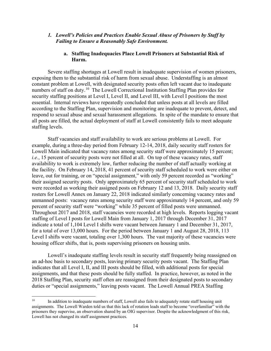#### *1. Lowell's Policies and Practices Enable Sexual Abuse of Prisoners by Staff by Failing to Ensure a Reasonably Safe Environment.*

### **a. Staffing Inadequacies Place Lowell Prisoners at Substantial Risk of Harm.**

 exposing them to the substantial risk of harm from sexual abuse. Understaffing is an almost numbers of staff on duty.<sup>10</sup> The Lowell Correctional Institution Staffing Plan provides for Severe staffing shortages at Lowell result in inadequate supervision of women prisoners, constant problem at Lowell, with designated security posts often left vacant due to inadequate security staffing positions at Level I, Level II, and Level III, with Level I positions the most essential. Internal reviews have repeatedly concluded that unless posts at all levels are filled according to the Staffing Plan, supervision and monitoring are inadequate to prevent, detect, and respond to sexual abuse and sexual harassment allegations. In spite of the mandate to ensure that all posts are filled, the actual deployment of staff at Lowell consistently fails to meet adequate staffing levels.

 Lowell Main indicated that vacancy rates among security staff were approximately 15 percent; Throughout 2017 and 2018, staff vacancies were recorded at high levels. Reports logging vacant staffing of Level I posts for Lowell Main from January 1, 2017 through December 31, 2017 Staff vacancies and staff availability to work are serious problems at Lowell. For example, during a three-day period from February 12-14, 2018, daily security staff rosters for *i.e.*, 15 percent of security posts were not filled at all. On top of these vacancy rates, staff availability to work is extremely low, further reducing the number of staff actually working at the facility. On February 14, 2018, 41 percent of security staff scheduled to work were either on leave, out for training, or on "special assignment," with only 59 percent recorded as "working" their assigned security posts. Only approximately 65 percent of security staff scheduled to work were recorded as working their assigned posts on February 12 and 13, 2018. Daily security staff rosters for Lowell Annex on January 22, 2018 indicated similarly concerning vacancy rates and unmanned posts: vacancy rates among security staff were approximately 14 percent, and only 59 percent of security staff were "working" while 35 percent of filled posts were unmanned. indicate a total of 1,104 Level I shifts were vacant between January 1 and December 31, 2017, for a total of over 13,000 hours. For the period between January 1 and August 28, 2018, 113 Level I shifts were vacant, totaling over 1,300 hours. The vast majority of these vacancies were housing officer shifts, that is, posts supervising prisoners on housing units.

 an ad-hoc basis to secondary posts, leaving primary security posts vacant. The Staffing Plan assignments, and that these posts should be fully staffed. In practice, however, as noted in the duties or "special assignments," leaving posts vacant. The Lowell Annual PREA Staffing Lowell's inadequate staffing levels result in security staff frequently being reassigned on indicates that all Level I, II, and III posts should be filled, with additional posts for special 2018 Staffing Plan, security staff often are reassigned from their designated posts to secondary

<span id="page-15-0"></span> assignments. The Lowell Warden told us that this lack of rotation leads staff to become "overfamiliar" with the prisoners they supervise, an observation shared by an OIG supervisor. Despite the acknowledgment of this risk, Lowell has not changed its staff assignment practices. 10 In addition to inadequate numbers of staff, Lowell also fails to adequately rotate staff housing unit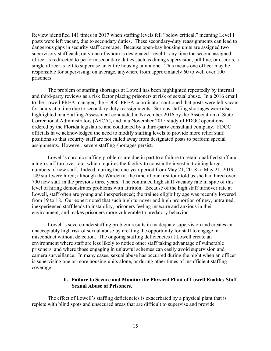posts were left vacant, due to secondary duties. These secondary-duty reassignments can lead to dangerous gaps in security staff coverage. Because open-bay housing units are assigned two supervisory staff each, only one of whom is designated Level I, any time the second assigned prisoners. Review identified 141 times in 2017 when staffing levels fell "below critical," meaning Level I officer is redirected to perform secondary duties such as dining supervision, pill line, or escorts, a single officer is left to supervise an entire housing unit alone. This means one officer may be responsible for supervising, on average, anywhere from approximately 60 to well over 100

 assignments. However, severe staffing shortages persist. The problem of staffing shortages at Lowell has been highlighted repeatedly by internal and third-party reviews as a risk factor placing prisoners at risk of sexual abuse. In a 2016 email to the Lowell PREA manager, the FDOC PREA coordinator cautioned that posts were left vacant for hours at a time due to secondary duty reassignments. Serious staffing shortages were also highlighted in a Staffing Assessment conducted in November 2016 by the Association of State Correctional Administrators (ASCA), and in a November 2015 study of FDOC operations ordered by the Florida legislature and conducted by a third-party consultant company. FDOC officials have acknowledged the need to modify staffing levels to provide more relief staff positions so that security staff are not called away from designated posts to perform special

 Lowell's chronic staffing problems are due in part to a failure to retain qualified staff and a high staff turnover rate, which requires the facility to constantly invest in training large numbers of new staff. Indeed, during the one-year period from May 21, 2018 to May 21, 2019, 149 staff were hired; although the Warden at the time of our first tour told us she had hired over 700 new staff in the previous three years. The continued high staff vacancy rate in spite of this level of hiring demonstrates problems with attrition. Because of the high staff turnover rate at Lowell, staff often are young and inexperienced; the trainee eligibility age was recently lowered from 19 to 18. Our expert noted that such high turnover and high proportion of new, untrained, inexperienced staff leads to instability, prisoners feeling insecure and anxious in their environment, and makes prisoners more vulnerable to predatory behavior.

 camera surveillance. In many cases, sexual abuse has occurred during the night when an officer coverage. Lowell's severe understaffing problem results in inadequate supervision and creates an unacceptably high risk of sexual abuse by creating the opportunity for staff to engage in misconduct without detection. The ongoing staffing deficiencies at Lowell create an environment where staff are less likely to notice other staff taking advantage of vulnerable prisoners, and where those engaging in unlawful schemes can easily avoid supervision and is supervising one or more housing units alone, or during other times of insufficient staffing

# **b. Failure to Secure and Monitor the Physical Plant of Lowell Enables Staff Sexual Abuse of Prisoners.**

 replete with blind spots and unsecured areas that are difficult to supervise and provide The effect of Lowell's staffing deficiencies is exacerbated by a physical plant that is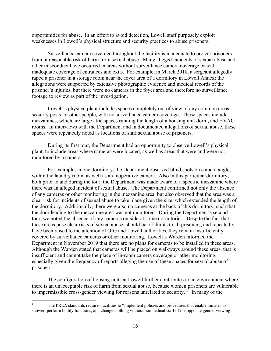weaknesses in Lowell's physical structure and security practices to abuse prisoners. opportunities for abuse. In an effort to avoid detection, Lowell staff purposely exploit

 footage to review as part of the investigation. Surveillance camera coverage throughout the facility is inadequate to protect prisoners from unreasonable risk of harm from sexual abuse. Many alleged incidents of sexual abuse and other misconduct have occurred in areas without surveillance camera coverage or with inadequate coverage of entrances and exits. For example, in March 2018, a sergeant allegedly raped a prisoner in a storage room near the foyer area of a dormitory in Lowell Annex; the allegations were supported by extensive photographic evidence and medical records of the prisoner's injuries, but there were no cameras in the foyer area and therefore no surveillance

spaces were repeatedly noted as locations of staff sexual abuse of prisoners. Lowell's physical plant includes spaces completely out of view of any common areas, security posts, or other people, with no surveillance camera coverage. These spaces include mezzanines, which are large attic spaces running the length of a housing unit dorm, and HVAC rooms. In interviews with the Department and in documented allegations of sexual abuse, these

 plant, to include areas where cameras were located, as well as areas that were and were not During its first tour, the Department had an opportunity to observe Lowell's physical monitored by a camera.

 both prior to and during the tour, the Department was made aware of a specific mezzanine where there was an alleged incident of sexual abuse. The Department confirmed not only the absence the door leading to the mezzanine area was not monitored. During the Department's second covered by surveillance cameras or other monitoring. Lowell's Warden informed the Department in November 2019 that there are no plans for cameras to be installed in these areas. insufficient and cannot take the place of in-room camera coverage or other monitoring, prisoners. For example, in one dormitory, the Department observed blind spots on camera angles within the laundry room, as well as an inoperative camera. Also in this particular dormitory, of any cameras or other monitoring in the mezzanine area, but also observed that the area was a clear risk for incidents of sexual abuse to take place given the size, which extended the length of the dormitory. Additionally, there were also no cameras at the back of this dormitory, such that tour, we noted the absence of any cameras outside of some dormitories. Despite the fact that these areas pose clear risks of sexual abuse, should be off-limits to all prisoners, and repeatedly have been raised to the attention of OIG and Lowell authorities, they remain insufficiently Although the Warden stated that cameras will be placed on walkways around these areas, that is especially given the frequency of reports alleging the use of these spaces for sexual abuse of

to impermissible cross-gender viewing for reasons unrelated to security.<sup>11</sup> In many of the The configuration of housing units at Lowell further contributes to an environment where there is an unacceptable risk of harm from sexual abuse, because women prisoners are vulnerable

<span id="page-17-0"></span> $11\,$ 11 The PREA standards requires facilities to "implement policies and procedures that enable inmates to shower, perform bodily functions, and change clothing without nonmedical staff of the opposite gender viewing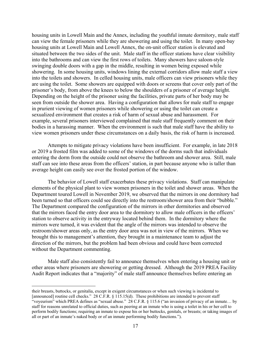housing units in Lowell Main and the Annex, including the youthful inmate dormitory, male staff into the bathrooms and can view the first rows of toilets. Many showers have saloon-style showering. In some housing units, windows lining the external corridors allow male staff a view are using the toilet. Some showers are equipped with doors or screens that cover only part of the Depending on the height of the prisoner using the facilities, private parts of her body may be can view the female prisoners while they are showering and using the toilet. In many open-bay housing units at Lowell Main and Lowell Annex, the on-unit officer station is elevated and situated between the two sides of the unit. Male staff in the officer stations have clear visibility swinging double doors with a gap in the middle, resulting in women being exposed while into the toilets and showers. In celled housing units, male officers can view prisoners while they prisoner's body, from above the knees to below the shoulders of a prisoner of average height. seen from outside the shower area. Having a configuration that allows for male staff to engage in prurient viewing of women prisoners while showering or using the toilet can create a sexualized environment that creates a risk of harm of sexual abuse and harassment. For example, several prisoners interviewed complained that male staff frequently comment on their bodies in a harassing manner. When the environment is such that male staff have the ability to view women prisoners under these circumstances on a daily basis, the risk of harm is increased.

 or 2019 a frosted film was added to some of the windows of the dorms such that individuals entering the dorm from the outside could not observe the bathroom and shower area. Still, male Attempts to mitigate privacy violations have been insufficient. For example, in late 2018 staff can see into these areas from the officers' station, in part because anyone who is taller than average height can easily see over the frosted portion of the window.

 elements of the physical plant to view women prisoners in the toilet and shower areas. When the been turned so that officers could see directly into the restroom/shower area from their "bubble." that the mirrors faced the entry door area to the dormitory to allow male officers in the officers' The behavior of Lowell staff exacerbates these privacy violations. Staff can manipulate Department toured Lowell in November 2019, we observed that the mirrors in one dormitory had The Department compared the configuration of the mirrors in other dormitories and observed station to observe activity in the entryway located behind them. In the dormitory where the mirrors were turned, it was evident that the angle of the mirrors was intended to observe the restroom/shower areas only, as the entry door area was not in view of the mirrors. When we brought this to management's attention, they brought in a maintenance team to adjust the direction of the mirrors, but the problem had been obvious and could have been corrected without the Department commenting.

 other areas where prisoners are showering or getting dressed. Although the 2019 PREA Facility Male staff also consistently fail to announce themselves when entering a housing unit or Audit Report indicates that a "majority" of male staff announce themselves before entering an

<u>.</u>

 [announced] routine cell checks." 28 C.F.R. § 115.15(d). These prohibitions are intended to prevent staff "voyeurism" which PREA defines as "sexual abuse." 28 C.F.R. § 115.6 ("an invasion of privacy of an inmate… by staff for reasons unrelated to official duties, such as peering at an inmate who is using a toilet in his or her cell to perform bodily functions; requiring an inmate to expose his or her buttocks, genitals, or breasts; or taking images of all or part of an inmate's naked body or of an inmate performing bodily functions."). their breasts, buttocks, or genitalia, except in exigent circumstances or when such viewing is incidental to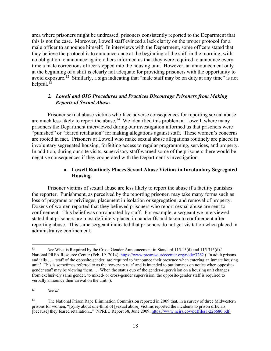they believe the protocol is to announce once at the beginning of the shift in the morning, with avoid exposure.<sup>12</sup> Similarly, a sign indicating that "male staff may be on duty at any time" is not area where prisoners might be undressed, prisoners consistently reported to the Department that this is not the case. Moreover, Lowell staff evinced a lack clarity on the proper protocol for a male officer to announce himself. In interviews with the Department, some officers stated that no obligation to announce again; others informed us that they were required to announce every time a male corrections officer stepped into the housing unit. However, an announcement only at the beginning of a shift is clearly not adequate for providing prisoners with the opportunity to helpful. $13$ 

# *2. Lowell and OIG Procedures and Practices Discourage Prisoners from Making Reports of Sexual Abuse.*

are much less likely to report the abuse.<sup>[14](#page-19-2)</sup> We identified this problem at Lowell, where many "punished" or "feared retaliation" for making allegations against staff. These women's concerns are rooted in fact. Prisoners at Lowell who make sexual abuse allegations routinely are placed in negative consequences if they cooperated with the Department's investigation. Prisoner sexual abuse victims who face adverse consequences for reporting sexual abuse prisoners the Department interviewed during our investigation informed us that prisoners were involuntary segregated housing, forfeiting access to regular programming, services, and property. In addition, during our site visits, supervisory staff warned some of the prisoners there would be

# **a. Lowell Routinely Places Sexual Abuse Victims in Involuntary Segregated Housing.**

 Prisoner victims of sexual abuse are less likely to report the abuse if a facility punishes loss of programs or privileges, placement in isolation or segregation, and removal of property. confinement. This belief was corroborated by staff. For example, a sergeant we interviewed administrative confinement. the reporter. Punishment, as perceived by the reporting prisoner, may take many forms such as Dozens of women reported that they believed prisoners who report sexual abuse are sent to stated that prisoners are most definitely placed in handcuffs and taken to confinement after reporting abuse. This same sergeant indicated that prisoners do not get visitation when placed in

<span id="page-19-0"></span>National PREA Resource Center (Feb. 19. 2014)[, https://www.prearesourcecenter.org/node/3262](https://www.prearesourcecenter.org/node/3262) ("In adult prisons and jails . . . 'staff of the opposite gender' are required to 'announce their presence when entering an inmate housing unit.' This is sometimes referred to as the 'cover-up rule' and is intended to put inmates on notice when opposite- gender staff may be viewing them. … When the status quo of the gender-supervision on a housing unit changes from exclusively same gender, to mixed- or cross-gender supervision, the opposite-gender staff is required to verbally announce their arrival on the unit."). See What is Required by the Cross-Gender Announcement in Standard 115.15(d) and 115.315(d)?

<span id="page-19-1"></span> $13$ See *id.* 

<span id="page-19-2"></span> $14$  prisons for women, "[o]nly about one-third of [sexual abuse] victims reported the incidents to prison officials [because] they feared retaliation..." NPREC Report 38, June 2009, [https://www.ncjrs.gov/pdffiles1/226680.pdf.](https://www.ncjrs.gov/pdffiles1/226680.pdf) The National Prison Rape Elimination Commission reported in 2009 that, in a survey of three Midwestern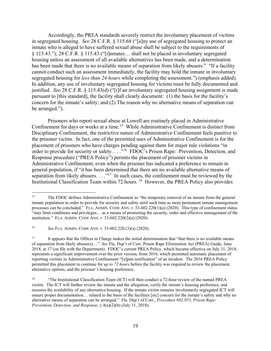Accordingly, the PREA standards severely restrict the involuntary placement of victims in segregated housing. *See* 28 C.F.R. § 115.68 ("[a]ny use of segregated housing to protect an inmate who is alleged to have suffered sexual abuse shall be subject to the requirements of segregated housing for *less than 24 hours* while completing the assessment.") (emphasis added). justified. *See* 28 C.F.R. § 115.43(d) ("[i]f an involuntary segregated housing assignment is made § 115.43."); 28 C.F.R. § 115.43 ("[i]nmates… shall not be placed in involuntary segregated housing unless an assessment of all available alternatives has been made, and a determination has been made that there is no available means of separation from likely abusers." "If a facility cannot conduct such an assessment immediately, the facility may hold the inmate in involuntary In addition, any use of involuntary segregated housing for victims must be fully documented and pursuant to [this standard], the facility shall clearly document: (1) the basis for the facility's concern for the inmate's safety; and (2) The reason why no alternative means of separation can be arranged.").

Confinement for days or weeks at a time.<sup>15</sup> While Administrative Confinement is distinct from the prisoner victim. In fact, one of the permitted uses of Administrative Confinement is for the placement of prisoners who have charges pending against them for major rule violations "in order to provide for security or safety. . . ."<sup>16</sup> FDOC's Prison Rape: Prevention, Detection, and Response procedure ("PREA Policy") permits the placement of prisoner victims in Administrative Confinement, even when the prisoner has indicated a preference to remain in separation from likely abusers.  $\dots$ <sup>17</sup> In such cases, the confinement must be reviewed by the Institutional Classification Team within 72 hours. <sup>18</sup> However, the PREA Policy also provides Prisoners who report sexual abuse at Lowell are routinely placed in Administrative Disciplinary Confinement, the restrictive nature of Administrative Confinement feels punitive to general population, if "it has been determined that there are no available alternative means of

<span id="page-20-0"></span><sup>15</sup>  inmate population in order to provide for security and safety until such time as more permanent inmate management processes can be concluded." FLA. ADMIN. CODE ANN. r. 33-602.220(1)(a) (2020). This type of confinement status "may limit conditions and privileges… as a means of promoting the security, order and effective management of the institution." FLA. ADMIN. CODE ANN. r. 33-602.220(2)(a) (2020). 15 The FDOC defines Administrative Confinement as "the temporary removal of an inmate from the general

<span id="page-20-1"></span> $16\,$ <sup>16</sup>*See* FLA. ADMIN. CODE ANN. r. 33-602.220 (3)(a) (2020).

<span id="page-20-2"></span><sup>17</sup>  of separation from likely abuser(s)…" *See* Fla. Dep't of Corr. Prison Rape Elimination Act (PREA) Guide, June 2018, at 17 (on file with the Department). FDOC's current PREA Policy, which became effective on July 31, 2018, represents a significant improvement over the prior version, from 2016, which permitted automatic placement of reporting victims in Administrative Confinement "[u]pon notification" of an incident. The 2016 PREA Policy permitted this placement to continue for *up to 72 hours* before the facility was required to review the placement, alternative options, and the prisoner's housing preference. 17 It appears that the Officer in Charge makes the initial determination that "that there is no available means

<span id="page-20-3"></span><sup>&</sup>lt;sup>18</sup> "The Institutional Classification Team (ICT) will then conduct a 72-hour review of the named PREA victim. The ICT will further review the inmate and the allegation, verify the inmate's housing preference, and reassess the availability of any alternative housing. If the inmate victim remains involuntarily segregated ICT will ensure proper documentation… related to the basis of the facilities [sic] concern for the inmate's safety and why no alternative means of separation can be arranged." Fla. Dep't of Corr., *Procedure 602.053, Prison Rape: Prevention, Detection, and Response*, § 4(a)(2)(b) (July 31, 2018).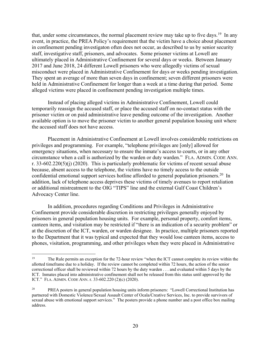that, under some circumstances, the normal placement review may take up to five days.<sup>[19](#page-21-0)</sup> In any event, in practice, the PREA Policy's requirement that the victim have a choice about placement in confinement pending investigaton often does not occur, as described to us by senior security staff, investigative staff, prisoners, and advocates. Some prisoner victims at Lowell are ultimately placed in Administrative Confinement for several days or weeks. Between January 2017 and June 2018, 24 different Lowell prisoners who were allegedly victims of sexual misconduct were placed in Administrative Confinement for days or weeks pending investigation. They spent an average of more than seven days in confinement; seven different prisoners were held in Administrative Confinement for longer than a week at a time during that period. Some alleged victims were placed in confinement pending investigation multiple times.

 temporarily reassign the accused staff, or place the accused staff on no-contact status with the available option is to move the prisoner victim to another general population housing unit where the accused staff does not have access. Instead of placing alleged victims in Administrative Confinement, Lowell could prisoner victim or on paid administrative leave pending outcome of the investigation. Another

 emergency situations, when necessary to ensure the inmate's access to courts, or in any other circumstance when a call is authorized by the warden or duty warden." FLA. ADMIN. CODE ANN. confidential emotional support services hotline afforded to general population prisoners.<sup>[20](#page-21-1)</sup> In Placement in Administrative Confinement at Lowell involves considerable restrictions on privileges and programming. For example, "telephone privileges are [only] allowed for r. 33-602.220(5)(j) (2020). This is particularly problematic for victims of recent sexual abuse because, absent access to the telephone, the victims have no timely access to the outside addition, lack of telephone access deprives these victims of timely avenues to report retaliation or additional mistreatment to the OIG "TIPS" line and the external Gulf Coast Children's Advocacy Center line.

 Confinement provide considerable discretion in restricting privileges generally enjoyed by at the discretion of the ICT, warden, or warden designee. In practice, multiple prisoners reported to the Department that it was typical and expected that they would lose canteen items, access to phones, visitation, programming, and other privileges when they were placed in Administrative In addition, procedures regarding Conditions and Privileges in Administrative prisoners in general population housing units. For example, personal property, comfort items, canteen items, and visitation may be restricted if "there is an indication of a security problem" or

<u>.</u>

<span id="page-21-0"></span> allotted timeframe due to a holiday. If the review cannot be completed within 72 hours, the action of the senior correctional officer shall be reviewed within 72 hours by the duty warden . . . and evaluated within 5 days by the ICT. Inmates placed into administrative confinement shall not be released from this status until approved by the ICT." FLA. ADMIN. CODE ANN. r. 33-602.220 (2)(c) (2020). 19 The Rule permits an exception for the 72-hour review "when the ICT cannot complete its review within the

<span id="page-21-1"></span> $20\,$  partnered with Domestic Violence/Sexual Assault Center of Ocala/Creative Services, Inc. to provide survivors of sexual abuse with emotional support services." The posters provide a phone number and a post office box mailing PREA posters in general population housing units inform prisoners: "Lowell Correctional Institution has address.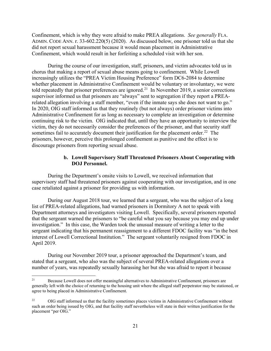Confinement, which is why they were afraid to make PREA allegations. *See generally* FLA. ADMIN. CODE ANN. r. 33-602.220(5) (2020). As discussed below, one prisoner told us that she Confinement, which would result in her forfeiting a scheduled visit with her son. did not report sexual harassment because it would mean placement in Administrative

 During the course of our investigation, staff, prisoners, and victim advocates told us in chorus that making a report of sexual abuse means going to confinement. While Lowell told repeatedly that prisoner preferences are ignored.<sup>[21](#page-22-0)</sup> In November 2019, a senior corrections supervisor informed us that prisoners are "always" sent to segregation if they report a PREArelated allegation involving a staff member, "even if the inmate says she does not want to go." related allegation involving a staff member, "even if the inmate says she does not want to go."<br>In 2020, OIG staff informed us that they routinely (but not always) order prisoner victims into Administrative Confinement for as long as necessary to complete an investigation or determine sometimes fail to accurately document their justification for the placement order.<sup>[22](#page-22-1)</sup> The prisoners, however, perceive this prolonged confinement as punitive and the effect is to increasingly utilizes the "PREA Victim Housing Preference" form DC6-2084 to determine whether placement in Administrative Confinement would be voluntary or involuntary, we were continuing risk to the victim. OIG indicated that, until they have an opportunity to interview the victim, they do not necessarily consider the preferences of the prisoner, and that security staff discourage prisoners from reporting sexual abuse.

# **b. Lowell Supervisory Staff Threatened Prisoners About Cooperating with DOJ Personnel.**

 During the Department's onsite visits to Lowell, we received information that supervisory staff had threatened prisoners against cooperating with our investigation, and in one case retaliated against a prisoner for providing us with information.

 Department attorneys and investigators visiting Lowell. Specifically, several prisoners reported investigation." In this case, the Warden took the unusual measure of writing a letter to the interest of Lowell Correctional Institution." The sergeant voluntarily resigned from FDOC in During our August 2018 tour, we learned that a sergeant, who was the subject of a long list of PREA-related allegations, had warned prisoners in Dormitory A not to speak with that the sergeant warned the prisoners to "be careful what you say because you may end up under sergeant indicating that his permanent reassignment to a different FDOC facility was "in the best April 2019.

 stated that a sergeant, who also was the subject of several PREA-related allegations over a During our November 2019 tour, a prisoner approached the Department's team, and number of years, was repeatedly sexually harassing her but she was afraid to report it because

<span id="page-22-0"></span> generally left with the choice of returning to the housing unit where the alleged staff perpetrator may be stationed, or 21 Because Lowell does not offer meaningful alternatives to Administrative Confinement, prisoners are agree to being placed in Administrative Confinement.

<span id="page-22-1"></span> $22\,$  such an order being issued by OIG, and that facility staff nevertheless will state in their written justification for the placement "per OIG." 22 OIG staff informed us that the facility sometimes places victims in Administrative Confinement without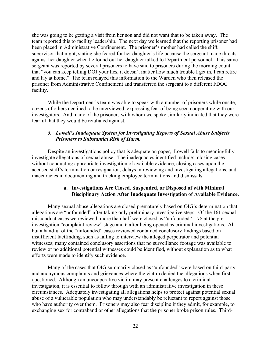she was going to be getting a visit from her son and did not want that to be taken away. The team reported this to facility leadership. The next day we learned that the reporting prisoner had been placed in Administrative Confinement. The prisoner's mother had called the shift supervisor that night, stating she feared for her daughter's life because the sergeant made threats against her daughter when he found out her daughter talked to Department personnel. This same that "you can keep telling DOJ your lies, it doesn't matter how much trouble I get in, I can retire and lay at home." The team relayed this information to the Warden who then released the prisoner from Administrative Confinement and transferred the sergeant to a different FDOC sergeant was reported by several prisoners to have said to prisoners during the morning count facility.

While the Department's team was able to speak with a number of prisoners while onsite, dozens of others declined to be interviewed, expressing fear of being seen cooperating with our investigators. And many of the prisoners with whom we spoke similarly indicated that they were fearful that they would be retaliated against.

# *3. Lowell's Inadequate System for Investigating Reports of Sexual Abuse Subjects Prisoners to Substantial Risk of Harm.*

 Despite an investigations policy that is adequate on paper, Lowell fails to meaningfully investigate allegations of sexual abuse. The inadequacies identified include: closing cases without conducting appropriate investigation of available evidence, closing cases upon the accused staff's termination or resignation, delays in reviewing and investigating allegations, and inaccuracies in documenting and tracking employee terminations and dismissals.

# **a. Investigations Are Closed, Suspended, or Disposed of with Minimal Disciplinary Action After Inadequate Investigation of Available Evidence.**

 review or no additional potential witnesses could be identified, without explanation as to what Many sexual abuse allegations are closed prematurely based on OIG's determination that allegations are "unfounded" after taking only preliminary investigative steps. Of the 161 sexual misconduct cases we reviewed, more than half were closed as "unfounded"—78 at the preinvestigation "complaint review" stage and 6 after being opened as criminal investigations. All but a handful of the "unfounded" cases reviewed contained conclusory findings based on insufficient factfinding, such as failing to interview the alleged perpetrator and potential witnesses; many contained conclusory assertions that no surveillance footage was available to efforts were made to identify such evidence.

 questioned. Although an uncooperative victim may present challenges to a criminal investigation, it is essential to follow through with an administrative investigation in these abuse of a vulnerable population who may understandably be reluctant to report against those who have authority over them. Prisoners may also fear discipline if they admit, for example, to exchanging sex for contraband or other allegations that the prisoner broke prison rules. Third-Many of the cases that OIG summarily closed as "unfounded" were based on third-party and anonymous complaints and grievances where the victim denied the allegations when first circumstances. Adequately investigating all allegations helps to protect against potential sexual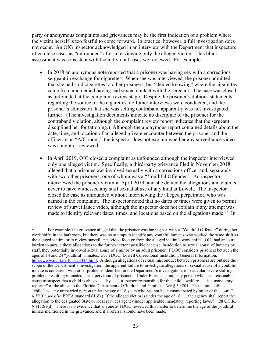the victim herself is too fearful to come forward. In practice, however, a full investigation does not occur. An OIG inspector acknowledged in an interview with the Department that inspectors often close cases as "unfounded" after interviewing only the alleged victim. This blunt party or anonymous complaints and grievances may be the first indication of a problem where assessment was consistent with the individual cases we reviewed. For example:

- • In 2018 an anonymous note reported that a prisoner was having sex with a corrections sergeant in exchange for cigarettes. When she was interviewed, the prisoner admitted regarding the source of the cigarettes, no futher interviews were conducted, and the further. (The investigation documents indicate no discipline of the prisoner for the disciplined her for tattooing.) Although the anonymous report contained details about the date, time, and location of an alleged private encounter between the prisoner and the that she had sold cigarettes to other prisoners, but "denied knowing" where the cigarettes came from and denied having had sexual contact with the sergeant. The case was closed as unfounded at the complaint review stage. Despite the prisoner's dubious statements prisoner's admission that she was selling contraband apparently was not investigated contraband violation, although the complaint review report indicates that the sergeant officer in an "A/C room," the inspector does not explain whether any surveillance video was sought or reviewed.
- alleged that a prisoner was involved sexually with a corrections officer and, separately, with two other prisoners, one of whom was a "Youthful Offender." An inspector never to have witnessed any staff sexual abuse of any kind at Lowell. The inspector named in the complaint. The inspector noted that no dates or times were given to permit made to identify relevant dates, times, and locations based on the allegations made.<sup>[23](#page-24-0)</sup> In • In April 2019, OIG closed a complaint as unfounded although the inspector interviewed only one alleged victim. Specifically, a third-party grievance filed in November 2018 interviewed the prisoner victim in April 2019, and she denied the allegations and claimed closed the case as unfounded without interviewing the alleged perpetrator, who was review of surveillance video, although the inspector does not explain if any attempt was

<span id="page-24-0"></span> $\overline{a}$  work shifts in the bathroom, but there was no attempt to identify any youthful inmates who worked the same shift as the alleged victim, or to review surveillance video footage from the alleged victim's work shifts. OIG had an extra burden to pursue these allegations to the furthest extent possible because, in addition to sexual abuse of inmates by staff, they potentially involved sexual abuse of a minor by an adult prisoner. FDOC considers prisoners between the ages of 14 and 24 "youthful" inmates. *See* FDOC, Lowell Correctional Institution, General Information, [http://www.dc.state.fl.us/ci/314.html.](http://www.dc.state.fl.us/ci/314.html) Although allegations of sexual misconduct between prisoners are outside the scope of the Department's investigation, the apparent failure to investigate allegations of sexual abuse of a youthful inmate is consistent with other problems identified in the Department's investigation, in particular severe staffing problems resulting in inadequate supervision of prisoners. Under Florida statute, any person who "has reasonable cause to suspect that a child is abused . . . by . . . [a] person responsible for the child's welfare . . . is a mandatory reporter" of the abuse to the Florida Department of Children and Families. *See* § 39.201. The statute defines "child" as "any unmarried person under the age of 18 years who has not been emancipated by order of the court." § 39.01; *see also* PREA standard 61(d) ("If the alleged victim is under the age of 18 . . . the agency shall report the allegation to the designated State or local services agency under applicable mandatory reporting laws."). 28 C.F.R. § 115.61(d). There is no evidence that anyone at FDOC reviewed this matter to determine the age of the youthful inmate mentioned in the grievance, and if a referral should have been made. 23 For example, the grievance alleged that the prisoner was having sex with a "Youthful Offender" during her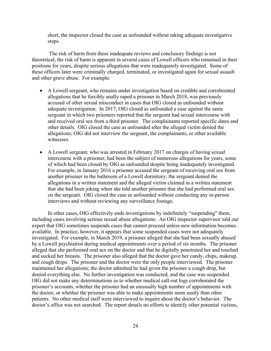short, the inspector closed the case as unfounded without taking adequate investigative steps.

 The risk of harm from these inadequate reviews and conclusory findings is not positions for years, despite serious allegations that were inadequately investigated. Some of theoretical; the risk of harm is apparent in several cases of Lowell officers who remained in their these officers later were criminally charged, terminated, or investigated again for sexual assault and other grave abuse. For example:

- accused of other sexual misconduct in cases that OIG closed as unfounded without adequate investigation. In 2017, OIG closed as unfounded a case against the same sergeant in which two prisoners reported that the sergeant had sexual intercourse with • A Lowell sergeant, who remains under investigation based on credible and corroborated allegations that he forcibly anally raped a prisoner in March 2018, was previously and received oral sex from a third prisoner. The complainants reported specific dates and other details. OIG closed the case as unfounded after the alleged victim denied the allegations; OIG did not interview the sergeant, the complainants, or other available witnesses.
- For example, in January 2016 a prisoner accused the sergeant of receiving oral sex from another prisoner in the bathroom of a Lowell dormitory; the sergeant denied the that she had been joking when she told another prisoner that she had performed oral sex • A Lowell sergeant, who was arrested in February 2017 on charges of having sexual intercourse with a prisoner, had been the subject of numerous allegations for years, some of which had been closed by OIG as unfounded despite being inadequately investigated. allegations in a written statement and the alleged victim claimed in a written statement on the sergeant. OIG closed the case as unfounded without conducting any in-person interviews and without reviewing any surveillance footage.

 In other cases, OIG effectively ends investigations by indefinitely "suspending" them, expert that OIG sometimes suspends cases that cannot proceed unless new information becomes available. In practice, however, it appears that some suspended cases were not adequately investigated. For example, in March 2019, a prisoner alleged that she had been sexually abused by a Lowell psychiatrist during medical appointments over a period of six months. The prisoner alleged that she performed oral sex on the doctor and that he digitally penetrated her and touched and sucked her breasts. The prisoner also alleged that the doctor gave her candy, chips, makeup, maintained her allegations; the doctor admitted he had given the prisoner a cough drop, but including cases involving serious sexual abuse allegations. An OIG inspector supervisor told our and cough drops. The prisoner and the doctor were the only people interviewed. The prisoner denied everything else. No further investigation was conducted, and the case was suspended. OIG did not make any determinations as to whether medical call-out logs corroborated the prisoner's accounts, whether the prisoner had an unusually high number of appointments with the doctor, or whether the prisoner was able to make appointments more easily than other patients. No other medical staff were interviewed to inquire about the doctor's behavior. The doctor's office was not searched. The report details no efforts to identify other potential victims,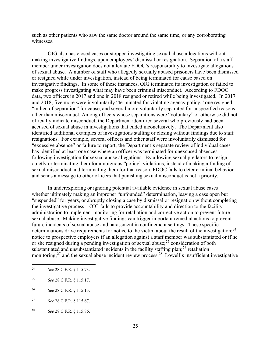such as other patients who saw the same doctor around the same time, or any corroborating witnesses.

 making investigative findings, upon employees' dismissal or resignation. Separation of a staff of sexual abuse. A number of staff who allegedly sexually abused prisoners have been dismissed or resigned while under investigation, instead of being terminated for cause based on data, two officers in 2017 and one in 2018 resigned or retired while being investigated. In 2017 "in lieu of separation" for cause, and several more voluntarily separated for unspecified reasons resignations. For example, several officers and other staff were involuntarily dismissed for "excessive absence" or failure to report; the Department's separate review of individual cases following investigation for sexual abuse allegations. By allowing sexual predators to resign OIG also has closed cases or stopped investigating sexual abuse allegations without member under investigation does not alleviate FDOC's responsibility to investigate allegations investigative findings. In some of these instances, OIG terminated its investigation or failed to make progress investigating what may have been criminal misconduct. According to FDOC and 2018, five more were involuntarily "terminated for violating agency policy," one resigned other than misconduct. Among officers whose separations were "voluntary" or otherwise did not officially indicate misconduct, the Department identified several who previously had been accused of sexual abuse in investigations that ended inconclusively. The Department also identified additional examples of investigations stalling or closing without findings due to staff has identified at least one case where an officer was terminated for unexcused absences quietly or terminating them for ambiguous "policy" violations, instead of making a finding of sexual misconduct and terminating them for that reason, FDOC fails to deter criminal behavior and sends a message to other officers that punishing sexual misconduct is not a priority.

 In underexploring or ignoring potential available evidence in sexual abuse cases— whether ultimately making an improper "unfounded" determination, leaving a case open but administration to implement monitoring for retaliation and corrective action to prevent future sexual abuse. Making investigative findings can trigger important remedial actions to prevent determinations drive requirements for notice to the victim about the result of the investigation;<sup>[24](#page-26-0)</sup> notice to prospective employers if an allegation against a staff member was substantiated or if he monitoring;<sup>[27](#page-26-3)</sup> and the sexual abuse incident review process.<sup>[28](#page-26-4)</sup> Lowell's insufficient investigative "suspended" for years, or abruptly closing a case by dismissal or resignation without completing the investigative process—OIG fails to provide accountability and direction to the facility future incidents of sexual abuse and harassment in confinement settings. These specific or she resigned during a pending investigation of sexual abuse;  $^{25}$  consideration of both substantiated and unsubstantiated incidents in the facility staffing plan;<sup>[26](#page-26-2)</sup> retaliation

<span id="page-26-0"></span><sup>24</sup>*See* 28 C.F.R. § 115.73.

<span id="page-26-1"></span><sup>25</sup> <sup>25</sup>*See* 28 C.F.R. § 115.17.

<span id="page-26-2"></span><sup>26</sup> <sup>26</sup>*See* 28 C.F.R. § 115.13.

<span id="page-26-3"></span><sup>27</sup> <sup>27</sup>*See* 28 C.F.R. § 115.67.

<span id="page-26-4"></span><sup>28</sup>*See* 28 C.F.R. § 115.86.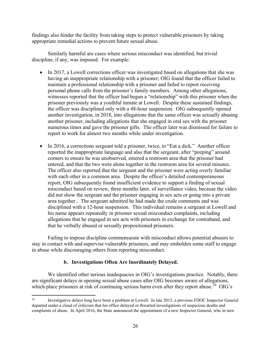findings also hinder the facility from taking steps to protect vulnerable prisoners by taking appropriate remedial actions to prevent future sexual abuse.

Similarly harmful are cases where serious misconduct was identified, but trivial discipline, if any, was imposed. For example:

- witnesses reported that the officer had begun a "relationship" with this prisoner when the another prisoner, including allegations that she engaged in oral sex with the prisoner numerous times and gave the prisoner gifts. The officer later was dismissed for failure to • In 2017, a Lowell corrections officer was investigated based on allegations that she was having an inappropriate relationship with a prisoner; OIG found that the officer failed to maintain a professional relationship with a prisoner and failed to report receiving personal phone calls from the prisoner's family members. Among other allegations, prisoner previously was a youthful inmate at Lowell. Despite these sustained findings, the officer was disciplined only with a 48-hour suspension. OIG subsequently opened another investigation, in 2018, into allegations that the same officer was sexually abusing report to work for almost two months while under investigation.
- • In 2016, a corrections sergeant told a prisoner, twice, to "Eat a dick." Another officer corners to ensure he was unobserved, entered a restroom area that the prisoner had entered, and that the two were alone together in the restroom area for several minutes. The officer also reported that the sergeant and the prisoner were acting overly familiar with each other in a common area. Despite the officer's detailed contemporaneous area together.. The sergeant admitted he had made the crude comments and was disciplined with a 12-hour suspension. This individual remains a sergeant at Lowell and reported the inappropriate language and also that the sergeant, after "peeping" around report, OIG subsequently found insufficient evidence to support a finding of sexual misconduct based on review, three months later, of surveillance video, because the video did not show the sergeant and the prisoner engaging in sex acts or going into a private his name appears repeatedly in prisoner sexual misconduct complaints, including allegations that he engaged in sex acts with prisoners in exchange for contraband, and that he verbally abused or sexually propositioned prisoners.

 stay in contact with and supervise vulnerable prisoners, and may embolden some staff to engage Failing to impose discipline commensurate with misconduct allows potential abusers to in abuse while discouraging others from reporting misconduct.

# **b. Investigations Often Are Inordinately Delayed.**

which place prisoners at risk of continuing serious harm even after they report abuse.<sup>[29](#page-27-0)</sup> OIG's We identified other serious inadequacies in OIG's investigations practice. Notably, there are significant delays in opening sexual abuse cases after OIG becomes aware of allegations,

<span id="page-27-0"></span> $\overline{a}$  29 departed under a cloud of criticism that his office delayed or thwarted investigations of suspicious deaths and complaints of abuse. In April 2016, the State announced the appointment of a new Inspector General, who in turn Investigative delays long have been a problem at Lowell. In late 2015, a previous FDOC Inspector General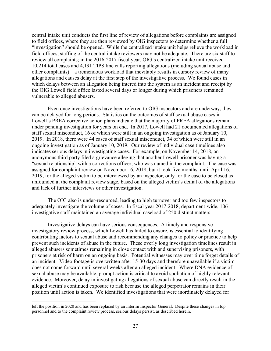to field offices, where they are then reviewed by OIG inspectors to determine whether a full "investigation" should be opened. While the centralized intake unit helps relieve the workload in field offices, staffing of the central intake reviewers may not be adequate. There are six staff to 10,214 total cases and 4,191 TIPS line calls reporting allegations (including sexual abuse and other complaints)—a tremendous workload that inevitably results in cursory review of many allegations and causes delay at the first step of the investigative process. We found cases in which delays between an allegation being intered into the system as an incident and receipt by central intake unit conducts the first line of review of allegations before complaints are assigned review all complaints; in the 2016-2017 fiscal year, OIG's centralized intake unit received the OIG Lowell field office lasted several days or longer during which prisoners remained vulnerable to alleged abusers.

 staff sexual misconduct, 16 of which were still in an ongoing investigation as of January 10, ongoing investigation as of January 10, 2019. Our review of individual case timelines also indicates serious delays in investigating cases. For example, on November 14, 2018, an 2019, for the alleged victim to be interviewed by an inspector, only for the case to be closed as Even once investigations have been referred to OIG inspectors and are underway, they can be delayed for long periods. Statistics on the outcomes of staff sexual abuse cases in Lowell's PREA corrective action plans indicate that the majority of PREA allegations remain under pending investigation for years on end. In 2017, Lowell had 21 documented allegations of 2019. In 2018, there were 44 cases of staff sexual misconduct, 34 of which were still in an anonymous third party filed a grievance alleging that another Lowell prisoner was having a "sexual relationship" with a corrections officer, who was named in the complaint. The case was assigned for complaint review on November 16, 2018, but it took five months, until April 16, unfounded at the complaint review stage, based on the alleged victim's denial of the allegations and lack of further interviews or other investigation.

 adequately investigate the volume of cases. In fiscal year 2017-2018, department-wide, 106 investigative staff maintained an average individual caseload of 250 distinct matters. The OIG also is under-resourced, leading to high turnover and too few inspectors to

 Investigative delays can have serious consequences. A timely and responsive alleged abusers sometimes remaining in close contact with and supervising prisoners, with prisoners at risk of harm on an ongoing basis. Potential witnesses may over time forget details of an incident. Video footage is overwritten after 15-30 days and therefore unavailable if a victim sexual abuse may be available, prompt action is critical to avoid spoliation of highly relevant evidence. Moreover, delay in investigating allegations of sexual abuse can directly result in the alleged victim's continued exposure to risk because the alleged perpetrator remains in their investigatory review process, which Lowell has failed to ensure, is essential to identifying contributing factors to sexual abuse and recommending any changes to policy or practice to help prevent such incidents of abuse in the future. These overly long investigation timelines result in does not come forward until several weeks after an alleged incident. Where DNA evidence of position until action is taken. We identified investigations that were inordinately delayed for

 personnel and to the complaint review process, serious delays persist, as described herein. left the position in 2020 and has been replaced by an Interim Inspector General. Despite these changes in top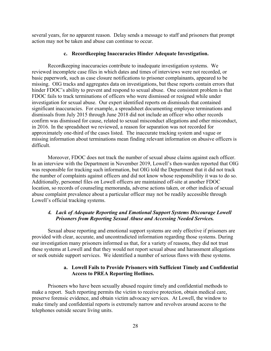several years, for no apparent reason. Delay sends a message to staff and prisoners that prompt action may not be taken and abuse can continue to occur.

#### **c. Recordkeeping Inaccuracies Hinder Adequate Investigation.**

 Recordkeeping inaccuracies contribute to inadequate investigation systems. We reviewed incomplete case files in which dates and times of interviews were not recorded, or missing. OIG tracks and aggregates data on investigations, but these reports contain errors that confirm was dismissed for cause, related to sexual misconduct allegations and other misconduct, in 2016. In the spreadsheet we reviewed, a reason for separation was not recorded for basic paperwork, such as case closure notifications to prisoner complainants, appeared to be hinder FDOC's ability to prevent and respond to sexual abuse. One consistent problem is that FDOC fails to track terminations of officers who were dismissed or resigned while under investigation for sexual abuse. Our expert identified reports on dismissals that contained significant inaccuracies. For example, a spreadsheet documenting employee terminations and dismissals from July 2015 through June 2018 did not include an officer who other records approximately one-third of the cases listed. The inaccurate tracking system and vague or missing information about terminations mean finding relevant information on abusive officers is difficult.

 location, so records of counseling memoranda, adverse actions taken, or other indicia of sexual abuse complaint prevalence about a particular officer may not be readily accessible through Moreover, FDOC does not track the number of sexual abuse claims against each officer. In an interview with the Department in November 2019, Lowell's then-warden reported that OIG was responsible for tracking such information, but OIG told the Department that it did not track the number of complaints against officers and did not know whose responsibility it was to do so. Additionally, personnel files on Lowell officers are maintained off-site at another FDOC Lowell's official tracking systems.

# *4. Lack of Adequate Reporting and Emotional Support Systems Discourage Lowell Prisoners from Reporting Sexual Abuse and Accessing Needed Services.*

 these systems at Lowell and that they would not report sexual abuse and harassment allegations Sexual abuse reporting and emotional support systems are only effective if prisoners are provided with clear, accurate, and uncontradicted information regarding those systems. During our investigation many prisoners informed us that, for a variety of reasons, they did not trust or seek outside support services. We identified a number of serious flaws with these systems.

# **a. Lowell Fails to Provide Prisoners with Sufficient Timely and Confidential Access to PREA Reporting Hotlines.**

 preserve forensic evidence, and obtain victim advocacy services. At Lowell, the window to Prisoners who have been sexually abused require timely and confidential methods to make a report. Such reporting permits the victim to receive protection, obtain medical care, make timely and confidential reports is extremely narrow and revolves around access to the telephones outside secure living units.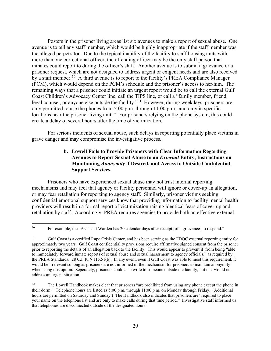Posters in the prisoner living areas list six avenues to make a report of sexual abuse. One avenue is to tell any staff member, which would be highly inappropriate if the staff member was the alleged perpetrator. Due to the typical inability of the facility to staff housing units with inmates could report to during the officer's shift. Another avenue is to submit a grievance or a by a staff member.<sup>30</sup> A third avenue is to report to the facility's PREA Compliance Manager remaining ways that a prisoner could initiate an urgent report would be to call the external Gulf legal counsel, or anyone else outside the facility."<sup>31</sup> However, during weekdays, prisoners are locations near the prisoner living unit.<sup>[32](#page-30-2)</sup> For prisoners relying on the phone system, this could create a delay of several hours after the time of victimization. more than one correctional officer, the offending officer may be the only staff person that prisoner request, which are not designed to address urgent or exigent needs and are also received (PCM), which would depend on the PCM's schedule and the prisoner's access to her/him. The Coast Children's Advocacy Center line, call the TIPS line, or call a "family member, friend, only permitted to use the phones from 5:00 p.m. through 11:00 p.m., and only in specific

For serious incidents of sexual abuse, such delays in reporting potentially place victims in grave danger and may compromise the investigative process.

# **Avenues to Report Sexual Abuse to an** *External* **Entity, Instructions on b. Lowell Fails to Provide Prisoners with Clear Information Regarding Maintaining** *Anonymity* **if Desired, and Access to Outside Confidential Support Services.**

 mechanisms and may feel that agency or facility personnel will ignore or cover-up an allegation, retaliation by staff. Accordingly, PREA requires agencies to provide both an effective external Prisoners who have experienced sexual abuse may not trust internal reporting or may fear retaliation for reporting to agency staff. Similarly, prisoner victims seeking confidential emotional support services know that providing information to facility mental health providers will result in a formal report of victimization raising identical fears of cover-up and

<span id="page-30-0"></span><sup>&</sup>lt;u>.</u> For example, the "Assistant Warden has 20 calendar days after receipt [of a grievance] to respond."

<span id="page-30-1"></span> $31$  approximately two years. Gulf Coast confidentiality provisions require affirmative signed consent from the prisoner prior to reporting the details of an allegation back to the facility. This would appear to prevent it from being "able to immediately forward inmate reports of sexual abuse and sexual harassment to agency officials," as required by the PREA Standards. 28 C.F.R. § 115.51(b). In any event, even if Gulf Coast was able to meet this requirement, it would be irrelevant so long as prisoners are not informed of the mechanism for prisoners to maintain anonymity when using this option. Seperately, prisoners could also write to someone outside the facility, but that would not 31 Gulf Coast is a certified Rape Crisis Center, and has been serving as the FDOC external reporting entity for address an urgent situation.

<span id="page-30-2"></span><sup>32</sup>  their dorm." Telephone hours are listed as 5:00 p.m. through 11:00 p.m. on Monday through Friday. (Additional hours are permitted on Saturday and Sunday.) The Handbook also indicates that prisoners are "required to place your name on the telephone list and are only to make calls during that time period." Investigative staff informed us that telephones are disconnected outside of the designated hours. The Lowell Handbook makes clear that prisoners "are prohibited from using any phone except the phone in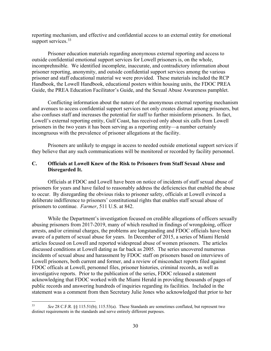reporting mechanism, and effective and confidential access to an external entity for emotional support services.<sup>[33](#page-31-1)</sup>

Prisoner education materials regarding anonymous external reporting and access to outside confidential emotional support services for Lowell prisoners is, on the whole, incomprehnsible. We identified incomplete, inaccurate, and contradictory information about prisoner reporting, anonymity, and outside confidential support services among the various prisoner and staff educational material we were provided. These materials included the RCP Handbook, the Lowell Handbook, educational posters within housing units, the FDOC PREA Guide, the PREA Education Facilitator's Guide, and the Sexual Abuse Awareness pamphlet.

 Lowell's external reporting entity, Gulf Coast, has received only about six calls from Lowell incongruous with the prevalence of prisoner allegations at the facility. Conflicting information about the nature of the anonymous external reporting mechanism and avenues to access confidential support services not only creates distrust among prisoners, but also confuses staff and increases the potential for staff to further misinform prisoners. In fact, prisoners in the two years it has been serving as a reporting entity—a number certainly

Prisoners are unlikely to engage in access to needed outside emotional support services if they believe that any such communications will be monitored or recorded by facility personnel.

# <span id="page-31-0"></span> **C. Officials at Lowell Knew of the Risk to Prisoners from Staff Sexual Abuse and Disregarded It.**

 Officials at FDOC and Lowell have been on notice of incidents of staff sexual abuse of prisoners for years and have failed to reasonably address the deficiencies that enabled the abuse to occur. By disregarding the obvious risks to prisoner safety, officials at Lowell evinced a deliberate indifference to prisoners' constitutional rights that enables staff sexual abuse of prisoners to continue. *Farmer*, 511 U.S. at 842.

 aware of a pattern of sexual abuse for years. In December of 2015, a series of Miami Herald acknowledging that FDOC worked with the Miami Herald in providing thousands of pages of While the Department's investigation focused on credible allegations of officers sexually abusing prisoners from 2017-2019, many of which resulted in findings of wrongdoing, officer arrests, and/or criminal charges, the problems are longstanding and FDOC officials have been articles focused on Lowell and reported widespread abuse of women prisoners. The articles discussed conditions at Lowell dating as far back as 2005. The series uncovered numerous incidents of sexual abuse and harassment by FDOC staff on prisoners based on interviews of Lowell prisoners, both current and former, and a review of misconduct reports filed against FDOC officals at Lowell, personnel files, prisoner histories, criminal records, as well as investigative reports. Prior to the publication of the series, FDOC released a statement public records and answering hundreds of inquiries regarding its facilities. Included in the statement was a comment from then Secretary Julie Jones who acknowledged that prior to her

<span id="page-31-1"></span><sup>33</sup>  distinct requirements in the standards and serve entirely different purposes. <sup>33</sup>*See* 28 C.F.R. §§ 115.51(b); 115.53(a). These Standards are sometimes conflated, but represent two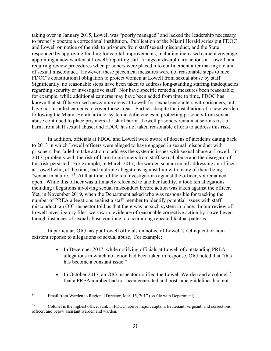and Lowell on notice of the risk to prisoners from staff sexual misconduct, and the State of sexual misconduct. However, these piecemeal measures were not reasonable steps to meet regarding security or investigative staff. Nor have specific remedial measures been reasonable; have not installed cameras to cover those areas. Further, despite the installation of a new warden abuse continued to place prisoners at risk of harm. Lowell prisoners remain at serious risk of taking over in January 2015, Lowell was "poorly managed" and lacked the leadership necessary to properly operate a correctional institituion. Publication of the Miami Herald series put FDOC responded by approving funding for capital improvements, including increased camera coverage; appointing a new warden at Lowell; reporting staff firings or disciplinary actions at Lowell; and requiring review procedures when prisoners were placed into confinement after making a claim FDOC's constitutional obligation to protect women at Lowell from sexual abuse by staff. Significantly, no reasonable steps have been taken to address long-standing staffing inadequacies for example, while additional cameras may have been added from time to time, FDOC has known that staff have used mezzanine areas at Lowell for sexual encounters with prisoners, but following the Miami Herald article, systemic deficiencies in protecting prisoners from sexual harm from staff sexual abuse, and FDOC has not taken reasonable efforts to address this risk.

 2017, problems with the risk of harm to prisoners from staff sexual abuse and the disregard of at Lowell who, at the time, had multiple allegations against him with many of them being "sexual in nature."<sup>[34](#page-32-0)</sup> At that time, of the ten investigations against the officer, six remained open. While this officer was ultimately relocated to another facility, it took ten allegations Yet, in November 2019, when the Department asked who was responsible for tracking the number of PREA allegations against a staff member to identify potential issues with staff misconduct, an OIG inspector told us that there was no such system in place. In our review of though instances of sexual abuse continue to occur along repeated factual patterns. In addition, officials at FDOC and Lowell were aware of dozens of incidents dating back to 2013 in which Lowell officers were alleged to have engaged in sexual misconduct with prisoners, but failed to take action to address the systemic issues with sexual abuse at Lowell. In this risk persisted. For example, in March 2017, the warden sent an email addressing an officer including allegations involving sexual misconduct before action was taken against the officer. Lowell investigatory files, we saw no evidence of reasonable corrective action by Lowell even

 existent reponse to allegations of sexual abuse. For example: In particular, OIG has put Lowell officials on notice of Lowell's delinquent or non-

- In December 2017, while notifying officials at Lowell of outstanding PREA allegations in which no action had been taken in response, OIG noted that "this has become a constant issue."
- In October 2017, an OIG inspector notified the Lowell Warden and a colonel<sup>35</sup> that a PREA number had not been generated and post-rape guidelines had not

<span id="page-32-0"></span>Email from Warden to Regional Director, Mar. 15, 2017 (on file with Department).

<span id="page-32-1"></span><sup>35</sup>  officer; and below assistant warden and warden. 35 Colonel is the highest officer rank in FDOC, above major, captain, lieutenant, sergeant, and corrections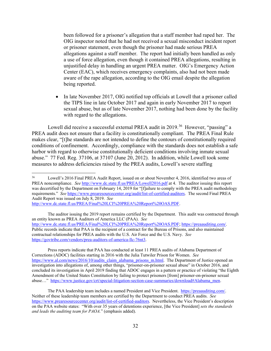been followed for a prisoner's allegation that a staff member had raped her. The or prisoner statement, even though the prisoner had made serious PREA unjustified delay in handling an urgent PREA matter. OIG's Emergency Action OIG inspector noted that he had not received a sexual misconduct incident report allegations against a staff member. The report had initially been handled as only a use of force allegation, even though it contained PREA allegations, resulting in Center (EAC), which receives emergency complaints, also had not been made aware of the rape allegation, according to the OIG email despite the allegation being reported.

 • In late November 2017, OIG notified top officials at Lowell that a prisoner called the TIPS line in late October 2017 and again in early November 2017 to report sexual abuse, but as of late November 2017, nothing had been done by the facility with regard to the allegations.

Lowell did receive a successful external PREA audit in 2019.<sup>36</sup> However, "passing" a PREA audit does not ensure that a facility is constitutionally compliant. The PREA Final Rule harbor with regard to otherwise constitutionally deficient conditions involving inmate sexual makes clear, "[t]he standards are not intended to define the contours of constitutionally required conditions of confinement. Accordingly, compliance with the standards does not establish a safe abuse." 77 Fed. Reg. 37106, at 37107 (June 20, 2012). In addition, while Lowell took some measures to address deficiencies raised by the PREA audits, Lowell's severe staffing

[http://www.dc.state.fl.us/PREA/Final%20LCI%20PREA%20Report%20OAS.PDF.](http://www.dc.state.fl.us/PREA/Final%20LCI%20PREA%20Report%20OAS.PDF)<br>The auditor issuing the 2019 report remains certified by the Department. This audit was contracted through an entity known as PREA Auditors of America LLC (PAA). *See*  http://www.dc.state.fl.us/PREA/Final%20LCI%20PREA%20Report%20OAS.PDF; https://preaauditing.com/. [http://www.dc.state.fl.us/PREA/Final%20LCI%20PREA%20Report%20OAS.PDF;](http://www.dc.state.fl.us/PREA/Final%20LCI%20PREA%20Report%20OAS.PDF) [https://preaauditing.com/.](https://preaauditing.com/)<br>Public records indicate that PAA is the recipient of a contract for the Bureau of Prisons, and also maintained contractual relationships for PREA audits with the U.S. Air Force and the U.S. Navy. *See*  https://govtribe.com/vendors/prea-auditors-of-america-llc-76nt3.

[https://govtribe.com/vendors/prea-auditors-of-america-llc-76nt3.](https://govtribe.com/vendors/prea-auditors-of-america-llc-76nt3)<br>Press reports indicate that PAA has conducted at least 11 PREA audits of Alabama Department of Corrections (ADOC) facilities starting in 2016 with the Julia Tutwiler Prison for Women. *See*  [https://www.al.com/news/2016/10/audits\\_claim\\_alabama\\_prisons\\_m.html.](https://www.al.com/news/2016/10/audits_claim_alabama_prisons_m.html) The Department of Justice opened an investigation into allegations of, among other things, "prisoner-on-prisoner sexual abuse" in October 2016, and concluded its investigation in April 2019 finding that ADOC engages in a pattern or practice of violating "the Eighth Amendment of the United States Constitution by failing to protect prisoners [from] prisoner-on-prisoner sexual abuse..." [https://www.justice.gov/crt/special-litigation-section-case-summaries/download#Alabama\\_men.](https://www.justice.gov/crt/special-litigation-section-case-summaries/download#Alabama_men)

The PAA leadership team includes a named President and Vice President. [https://preaauditing.com/.](https://preaauditing.com/) Neither of these leadership team members are certified by the Department to conduct PREA audits. *See*  [https://www.prearesourcecenter.org/audit/list-of-certified-auditors.](https://www.prearesourcecenter.org/audit/list-of-certified-auditors) Nevertheless, the Vice President's description on the PAA website states: "With over 35 years of detentions experience, [the Vice President] *sets the standards and leads the auditing team for PAOA.*" (emphasis added).

<span id="page-33-0"></span> $\overline{a}$ 36 PREA noncompliance. *See* <http://www.dc.state.fl.us/PREA/Lowell2016.pdf>at 4. The auditor issuing this report was decertified by the Department on February 14, 2019 for "[f]ailure to comply with the PREA audit methodology requirements." *See* [https://www.prearesourcecenter.org/audit/list-of-certified-auditors.](https://www.prearesourcecenter.org/audit/list-of-certified-auditors) The second Final PREA Audit Report was issued on July 8, 2019. *See*  Lowell's 2016 Final PREA Audit Report, issued on or about November 4, 2016, identified two areas of

http://www.dc.state.fl.us/PREA/Final%20LCI%20PREA%20Report%20OAS.PDF.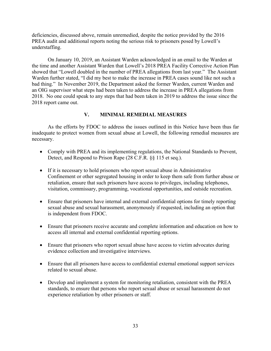deficiencies, discussed above, remain unremedied, despite the notice provided by the 2016 PREA audit and additional reports noting the serious risk to prisoners posed by Lowell's understaffing.

 the time and another Assistant Warden that Lowell's 2018 PREA Facility Corrective Action Plan showed that "Lowell doubled in the number of PREA allegations from last year." The Assistant bad thing." In November 2019, the Department asked the former Warden, current Warden and 2018. No one could speak to any steps that had been taken in 2019 to address the issue since the 2018 report came out. On January 10, 2019, an Assistant Warden acknowledged in an email to the Warden at Warden further stated, "I did my best to make the increase in PREA cases sound like not such a an OIG supervisor what steps had been taken to address the increase in PREA allegations from

# **V. MINIMAL REMEDIAL MEASURES**

<span id="page-34-0"></span> As the efforts by FDOC to address the issues outlined in this Notice have been thus far necessary. inadequate to protect women from sexual abuse at Lowell, the following remedial measures are

- Comply with PREA and its implementing regulations, the National Standards to Prevent, Detect, and Respond to Prison Rape (28 C.F.R. §§ 115 et seq.).
- If it is necessary to hold prisoners who report sexual abuse in Administrative Confinement or other segregated housing in order to keep them safe from further abuse or retaliation, ensure that such prisoners have access to privileges, including telephones, visitation, commissary, programming, vocational opportunities, and outside recreation.
- is independent from FDOC. • Ensure that prisoners have internal and external confidential options for timely reporting sexual abuse and sexual harassment, anonymously if requested, including an option that
- Ensure that prisoners receive accurate and complete information and education on how to access all internal and external confidential reporting options.
- Ensure that prisoners who report sexual abuse have access to victim advocates during evidence collection and investigative interviews.
- • Ensure that all prisoners have access to confidential external emotional support services related to sexual abuse.
- standards, to ensure that persons who report sexual abuse or sexual harassment do not • Develop and implement a system for monitoring retaliation, consistent with the PREA experience retaliation by other prisoners or staff.